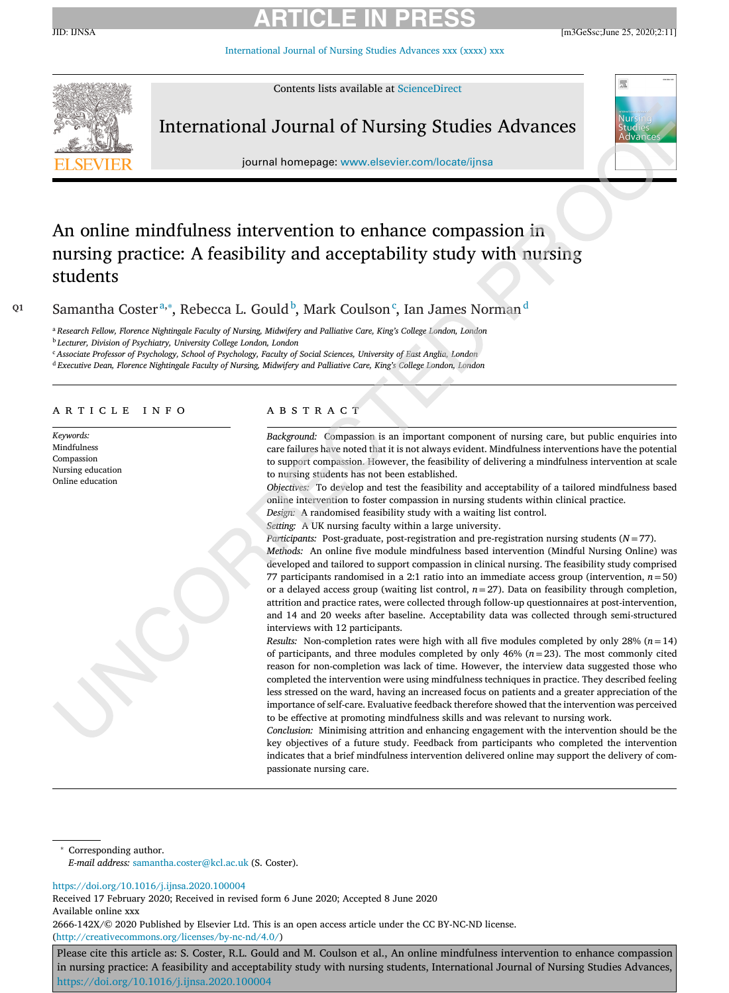[International](https://doi.org/10.1016/j.ijnsa.2020.100004) Journal of Nursing Studies Advances xxx (xxxx) xxx



Contents lists available at [ScienceDirect](http://www.ScienceDirect.com)

# International Journal of Nursing Studies Advances

journal homepage: [www.elsevier.com/locate/ijnsa](http://www.elsevier.com/locate/ijnsa)

# 凞

# An online mindfulness intervention to enhance compassion in nursing practice: A feasibility and acceptability study with nursing students

<sup>Q1</sup> Samantha Coster<sup>a,∗</sup>, Rebecca L. Gould<sup>b</sup>, Mark Coulson<sup>c</sup>, Ian James Norman<sup>d</sup>

a Research Fellow, Florence Nightingale Faculty of Nursing, Midwifery and Palliative Care, King's College London, London <sup>b</sup> *Lecturer, Division of Psychiatry, University College London, London*

<sup>c</sup> Associate Professor of Psychology, School of Psychology, Faculty of Social Sciences, University of East Anglia, London

<sup>d</sup> *Executive Dean, Florence Nightingale Faculty of Nursing, Midwifery and Palliative Care, King's College London, London*

## a r t i c l e i n f o

*Keywords:* Mindfulness Compassion Nursing education Online education

## A B S T R A C T

*Background:* Compassion is an important component of nursing care, but public enquiries into care failures have noted that it is not always evident. Mindfulness interventions have the potential to support compassion. However, the feasibility of delivering a mindfulness intervention at scale to nursing students has not been established.

*Objectives:* To develop and test the feasibility and acceptability of a tailored mindfulness based online intervention to foster compassion in nursing students within clinical practice.

*Design:* A randomised feasibility study with a waiting list control. *Setting:* A UK nursing faculty within a large university.

*Participants:* Post-graduate, post-registration and pre-registration nursing students (*N* = 77).

*Methods:* An online five module mindfulness based intervention (Mindful Nursing Online) was developed and tailored to support compassion in clinical nursing. The feasibility study comprised 77 participants randomised in a 2:1 ratio into an immediate access group (intervention,  $n = 50$ ) or a delayed access group (waiting list control, *n*=27). Data on feasibility through completion, attrition and practice rates, were collected through follow-up questionnaires at post-intervention, and 14 and 20 weeks after baseline. Acceptability data was collected through semi-structured interviews with 12 participants.

*Results:* Non-completion rates were high with all five modules completed by only 28%  $(n=14)$ of participants, and three modules completed by only 46% (*n*=23). The most commonly cited reason for non-completion was lack of time. However, the interview data suggested those who completed the intervention were using mindfulness techniques in practice. They described feeling less stressed on the ward, having an increased focus on patients and a greater appreciation of the importance of self-care. Evaluative feedback therefore showed that the intervention was perceived to be effective at promoting mindfulness skills and was relevant to nursing work.

*Conclusion:* Minimising attrition and enhancing engagement with the intervention should be the key objectives of a future study. Feedback from participants who completed the intervention indicates that a brief mindfulness intervention delivered online may support the delivery of compassionate nursing care.

Corresponding author. *E-mail address:* [samantha.coster@kcl.ac.uk](mailto:samantha.coster@kcl.ac.uk) (S. Coster).

<https://doi.org/10.1016/j.ijnsa.2020.100004>

Received 17 February 2020; Received in revised form 6 June 2020; Accepted 8 June 2020 Available online xxx

2666-142X/© 2020 Published by Elsevier Ltd. This is an open access article under the CC BY-NC-ND license. [\(http://creativecommons.org/licenses/by-nc-nd/4.0/\)](http://creativecommons.org/licenses/by-nc-nd/4.0/)

Please cite this article as: S. Coster, R.L. Gould and M. Coulson et al., An online mindfulness intervention to enhance compassion in nursing practice: A feasibility and acceptability study with nursing students, International Journal of Nursing Studies Advances, <https://doi.org/10.1016/j.ijnsa.2020.100004>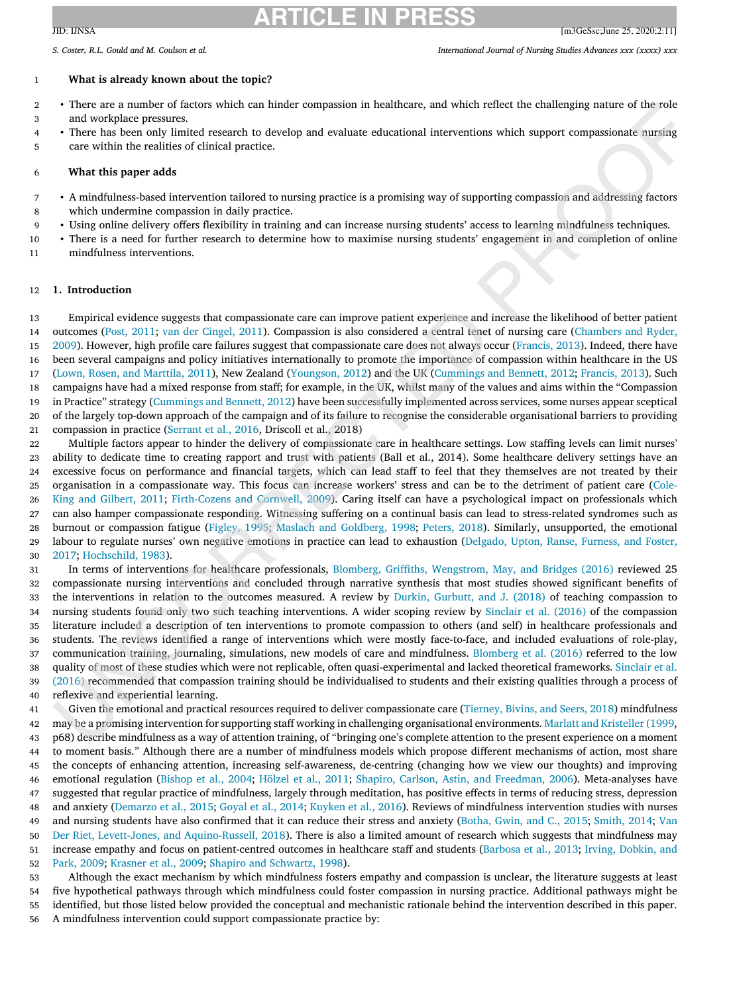#### S. Coster. R.L. Gould and M. Coulson et al. (2002) S. Coster and Mursing Studies Advances xxx (xxxx) xxx

#### **What is already known about the topic?**

- <sup>2</sup> There are a number of factors which can hinder compassion in healthcare, and which reflect the challenging nature of the role and workplace pressures.
- There has been only limited research to develop and evaluate educational interventions which support compassionate nursing
- care within the realities of clinical practice.

## **What this paper adds**

- <sup>7</sup> A mindfulness-based intervention tailored to nursing practice is a promising way of supporting compassion and addressing factors which undermine compassion in daily practice.
- Using online delivery offers flexibility in training and can increase nursing students' access to learning mindfulness techniques.
- There is a need for further research to determine how to maximise nursing students' engagement in and completion of online mindfulness interventions.

#### **1. Introduction**

 Empirical evidence suggests that compassionate care can improve patient experience and increase the likelihood of better patient outcomes (Post, [2011;](#page-14-0) van der [Cingel,](#page-14-0) 2011). Compassion is also considered a central tenet of nursing care (Chambers and Ryder, 2009). However, high profile care failures suggest that [compassionate](#page-13-0) care does not always occur [\(Francis,](#page-13-0) 2013). Indeed, there have been several campaigns and policy initiatives internationally to promote the importance of compassion within healthcare in the US (Lown, Rosen, and [Marttila,](#page-14-0) 2011), New Zealand [\(Youngson,](#page-14-0) 2012) and the UK [\(Cummings](#page-13-0) and Bennett, 2012; [Francis,](#page-13-0) 2013). Such campaigns have had a mixed response from staff; for example, in the UK, whilst many of the values and aims within the "Compassion in Practice" strategy [\(Cummings](#page-13-0) and Bennett, 2012) have been successfully implemented across services, some nurses appear sceptical of the largely top-down approach of the campaign and of its failure to recognise the considerable organisational barriers to providing compassion in practice [\(Serrant](#page-14-0) et al., 2016, Driscoll et al., 2018)

 Multiple factors appear to hinder the delivery of compassionate care in healthcare settings. Low staffing levels can limit nurses' ability to dedicate time to creating rapport and trust with patients (Ball et al., 2014). Some healthcare delivery settings have an excessive focus on performance and financial targets, which can lead staff to feel that they themselves are not treated by their organisation in a [compassionate](#page-13-0) way. This focus can increase workers' stress and can be to the detriment of patient care (Cole- King and Gilbert, 2011; [Firth-Cozens](#page-13-0) and Cornwell, 2009). Caring itself can have a psychological impact on professionals which can also hamper compassionate responding. Witnessing suffering on a continual basis can lead to stress-related syndromes such as burnout or compassion fatigue [\(Figley,](#page-13-0) 1995; Maslach and [Goldberg,](#page-14-0) 1998; [Peters,](#page-14-0) 2018). Similarly, unsupported, the emotional labour to regulate nurses' own negative emotions in practice can lead to exhaustion (Delgado, Upton, Ranse, Furness, and Foster, 2017; [Hochschild,](#page-13-0) 1983).

 In terms of interventions for healthcare professionals, Blomberg, Griffiths, [Wengstrom,](#page-13-0) May, and Bridges (2016) reviewed 25 compassionate nursing interventions and concluded through narrative synthesis that most studies showed significant benefits of the interventions in relation to the outcomes measured. A review by Durkin, [Gurbutt,](#page-13-0) and J. (2018) of teaching compassion to nursing students found only two such teaching interventions. A wider scoping review by [Sinclair](#page-14-0) et al. (2016) of the compassion literature included a description of ten interventions to promote compassion to others (and self) in healthcare professionals and students. The reviews identified a range of interventions which were mostly face-to-face, and included evaluations of role-play, communication training, journaling, simulations, new models of care and mindfulness. [Blomberg](#page-13-0) et al. (2016) referred to the low quality of most of these studies which were not replicable, often [quasi-experimental](#page-14-0) and lacked theoretical frameworks. Sinclair et al. (2016) recommended that compassion training should be individualised to students and their existing qualities through a process of reflexive and experiential learning.

 Given the emotional and practical resources required to deliver compassionate care [\(Tierney,](#page-14-0) Bivins, and Seers, 2018) mindfulness may be a promising intervention for supporting staff working in challenging organisational environments. Marlatt and [Kristeller](#page-14-0) (1999, p68) describe mindfulness as a way of attention training, of "bringing one's complete attention to the present experience on a moment to moment basis." Although there are a number of mindfulness models which propose different mechanisms of action, most share the concepts of enhancing attention, increasing self-awareness, de-centring (changing how we view our thoughts) and improving emotional regulation [\(Bishop](#page-13-0) et al., 2004; [Hölzel](#page-13-0) et al., 2011; Shapiro, Carlson, Astin, and [Freedman,](#page-14-0) 2006). Meta-analyses have suggested that regular practice of mindfulness, largely through meditation, has positive effects in terms of reducing stress, depression and anxiety [\(Demarzo](#page-13-0) et al., 2015; [Goyal](#page-13-0) et al., 2014; [Kuyken](#page-14-0) et al., 2016). Reviews of mindfulness intervention studies with nurses and nursing students have also confirmed that it can reduce their stress and anxiety [\(Botha,](#page-13-0) Gwin, and C., 2015; [Smith,](#page-14-0) 2014; Van Der Riet, Levett-Jones, and [Aquino-Russell,](#page-14-0) 2018). There is also a limited amount of research which suggests that mindfulness may increase empathy and focus on [patient-centred](#page-13-0) outcomes in healthcare staff and students [\(Barbosa](#page-13-0) et al., 2013; Irving, Dobkin, and Park, 2009; [Krasner](#page-14-0) et al., 2009; Shapiro and [Schwartz,](#page-14-0) 1998).

 Although the exact mechanism by which mindfulness fosters empathy and compassion is unclear, the literature suggests at least five hypothetical pathways through which mindfulness could foster compassion in nursing practice. Additional pathways might be identified, but those listed below provided the conceptual and mechanistic rationale behind the intervention described in this paper. A mindfulness intervention could support compassionate practice by: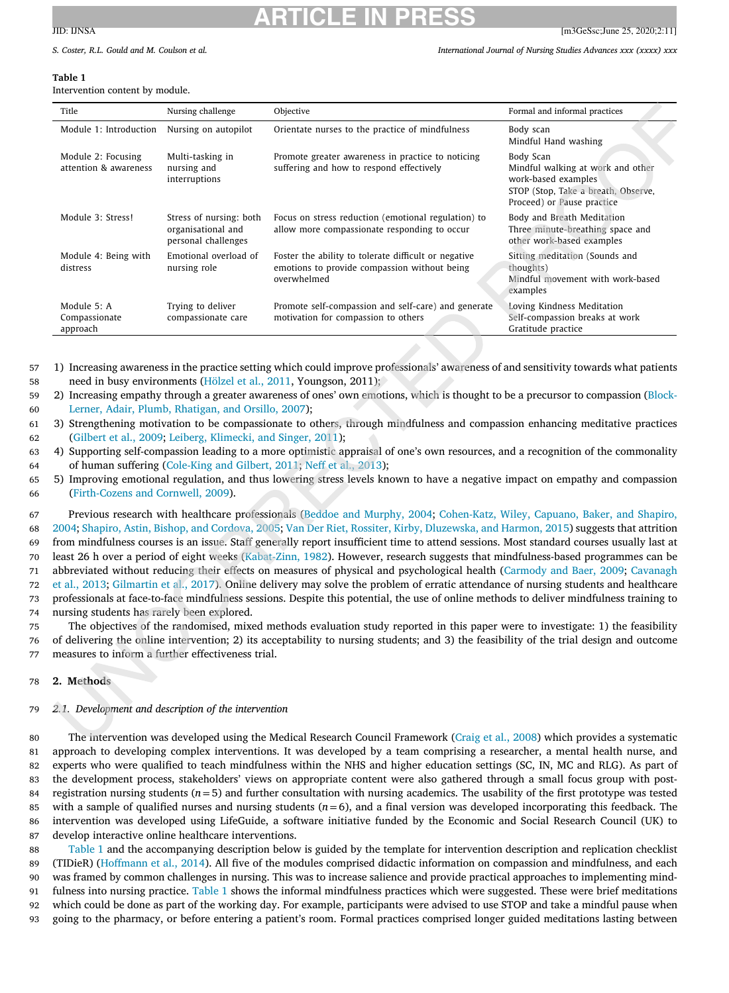S. Coster. R.L. Gould and M. Coulson et al. (2002) S. Coster and Mursing Studies Advances xxx (xxxx) xxx

#### **Table 1**

Intervention content by module.

| Title                                       | Nursing challenge                                                    | Objective                                                                                                           | Formal and informal practices                                                                                                              |
|---------------------------------------------|----------------------------------------------------------------------|---------------------------------------------------------------------------------------------------------------------|--------------------------------------------------------------------------------------------------------------------------------------------|
| Module 1: Introduction                      | Nursing on autopilot                                                 | Orientate nurses to the practice of mindfulness                                                                     | Body scan<br>Mindful Hand washing                                                                                                          |
| Module 2: Focusing<br>attention & awareness | Multi-tasking in<br>nursing and<br>interruptions                     | Promote greater awareness in practice to noticing<br>suffering and how to respond effectively                       | Body Scan<br>Mindful walking at work and other<br>work-based examples<br>STOP (Stop, Take a breath, Observe,<br>Proceed) or Pause practice |
| Module 3: Stress!                           | Stress of nursing: both<br>organisational and<br>personal challenges | Focus on stress reduction (emotional regulation) to<br>allow more compassionate responding to occur                 | Body and Breath Meditation<br>Three minute-breathing space and<br>other work-based examples                                                |
| Module 4: Being with<br>distress            | Emotional overload of<br>nursing role                                | Foster the ability to tolerate difficult or negative<br>emotions to provide compassion without being<br>overwhelmed | Sitting meditation (Sounds and<br>thoughts)<br>Mindful movement with work-based<br>examples                                                |
| Module 5: A<br>Compassionate<br>approach    | Trying to deliver<br>compassionate care                              | Promote self-compassion and self-care) and generate<br>motivation for compassion to others                          | Loving Kindness Meditation<br>Self-compassion breaks at work<br>Gratitude practice                                                         |

57 1) Increasing awareness in the practice setting which could improve professionals' awareness of and sensitivity towards what patients 58 need in busy environments [\(Hölzel](#page-13-0) et al., 2011, Youngson, 2011);

- 59 2) Increasing empathy through a greater awareness of ones' own emotions, which is thought to be a precursor to [compassion](#page-13-0) (Block-60 Lerner, Adair, Plumb, Rhatigan, and Orsillo, 2007);
- 61 3) Strengthening motivation to be compassionate to others, through mindfulness and compassion enhancing meditative practices 62 [\(Gilbert](#page-13-0) et al., 2009; Leiberg, [Klimecki,](#page-14-0) and Singer, 2011);

63 4) Supporting self-compassion leading to a more optimistic appraisal of one's own resources, and a recognition of the commonality 64 of human suffering [\(Cole-King](#page-13-0) and Gilbert, 2011; [Neff et](#page-14-0) al., 2013);

65 5) Improving emotional regulation, and thus lowering stress levels known to have a negative impact on empathy and compassion 66 [\(Firth-Cozens](#page-13-0) and Cornwell, 2009).

 Previous research with healthcare [professionals](#page-13-0) (Beddoe and [Murphy,](#page-13-0) 2004; Cohen-Katz, Wiley, Capuano, Baker, and Shapiro, 2004; Shapiro, Astin, Bishop, and [Cordova,](#page-14-0) 2005; Van Der Riet, Rossiter, Kirby, [Dluzewska,](#page-14-0) and Harmon, 2015) suggests that attrition from mindfulness courses is an issue. Staff generally report insufficient time to attend sessions. Most standard courses usually last at least 26 h over a period of eight weeks [\(Kabat-Zinn,](#page-13-0) 1982). However, research suggests that mindfulness-based programmes can be abbreviated without reducing their effects on measures of physical and [psychological](#page-13-0) health [\(Carmody](#page-13-0) and Baer, 2009; Cavanagh et al., 2013; [Gilmartin](#page-13-0) et al., 2017). Online delivery may solve the problem of erratic attendance of nursing students and healthcare professionals at face-to-face mindfulness sessions. Despite this potential, the use of online methods to deliver mindfulness training to nursing students has rarely been explored.

75 The objectives of the randomised, mixed methods evaluation study reported in this paper were to investigate: 1) the feasibility 76 of delivering the online intervention; 2) its acceptability to nursing students; and 3) the feasibility of the trial design and outcome 77 measures to inform a further effectiveness trial.

#### 78 **2. Methods**

## 79 *2.1. Development and description of the intervention*

 The intervention was developed using the Medical Research Council Framework [\(Craig](#page-13-0) et al., 2008) which provides a systematic approach to developing complex interventions. It was developed by a team comprising a researcher, a mental health nurse, and experts who were qualified to teach mindfulness within the NHS and higher education settings (SC, IN, MC and RLG). As part of the development process, stakeholders' views on appropriate content were also gathered through a small focus group with post-84 registration nursing students  $(n=5)$  and further consultation with nursing academics. The usability of the first prototype was tested 85 with a sample of qualified nurses and nursing students  $(n=6)$ , and a final version was developed incorporating this feedback. The intervention was developed using LifeGuide, a software initiative funded by the Economic and Social Research Council (UK) to develop interactive online healthcare interventions.

 Table 1 and the accompanying description below is guided by the template for intervention description and replication checklist (TIDieR) [\(Hoffmann](#page-13-0) et al., 2014). All five of the modules comprised didactic information on compassion and mindfulness, and each was framed by common challenges in nursing. This was to increase salience and provide practical approaches to implementing mind-91 fulness into nursing practice. Table 1 shows the informal mindfulness practices which were suggested. These were brief meditations which could be done as part of the working day. For example, participants were advised to use STOP and take a mindful pause when going to the pharmacy, or before entering a patient's room. Formal practices comprised longer guided meditations lasting between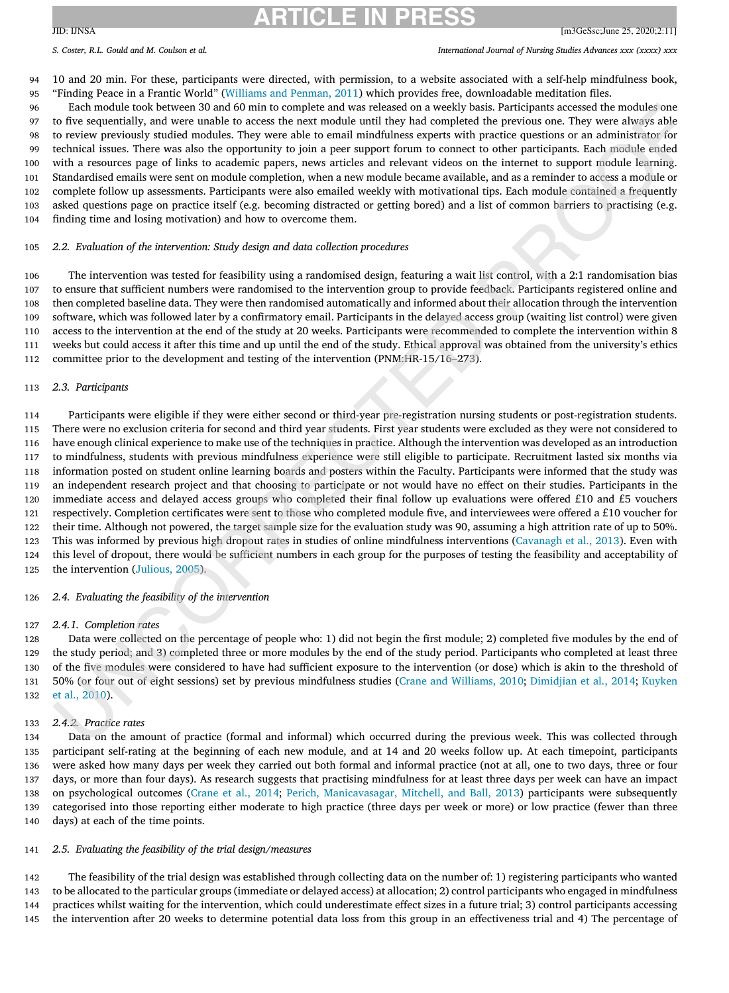S. Coster. R.L. Gould and M. Coulson et al. (2002) S. Coster and Mursing Studies Advances xxx (xxxx) xxx

 10 and 20 min. For these, participants were directed, with permission, to a website associated with a self-help mindfulness book, "Finding Peace in a Frantic World" [\(Williams](#page-14-0) and Penman, 2011) which provides free, downloadable meditation files.

 Each module took between 30 and 60 min to complete and was released on a weekly basis. Participants accessed the modules one to five sequentially, and were unable to access the next module until they had completed the previous one. They were always able to review previously studied modules. They were able to email mindfulness experts with practice questions or an administrator for technical issues. There was also the opportunity to join a peer support forum to connect to other participants. Each module ended with a resources page of links to academic papers, news articles and relevant videos on the internet to support module learning. Standardised emails were sent on module completion, when a new module became available, and as a reminder to access a module or complete follow up assessments. Participants were also emailed weekly with motivational tips. Each module contained a frequently asked questions page on practice itself (e.g. becoming distracted or getting bored) and a list of common barriers to practising (e.g. finding time and losing motivation) and how to overcome them.

#### *2.2. Evaluation of the intervention: Study design and data collection procedures*

 The intervention was tested for feasibility using a randomised design, featuring a wait list control, with a 2:1 randomisation bias to ensure that sufficient numbers were randomised to the intervention group to provide feedback. Participants registered online and then completed baseline data. They were then randomised automatically and informed about their allocation through the intervention software, which was followed later by a confirmatory email. Participants in the delayed access group (waiting list control) were given access to the intervention at the end of the study at 20 weeks. Participants were recommended to complete the intervention within 8 weeks but could access it after this time and up until the end of the study. Ethical approval was obtained from the university's ethics committee prior to the development and testing of the intervention (PNM:HR-15/16–273).

#### *2.3. Participants*

 Participants were eligible if they were either second or third-year pre-registration nursing students or post-registration students. There were no exclusion criteria for second and third year students. First year students were excluded as they were not considered to have enough clinical experience to make use of the techniques in practice. Although the intervention was developed as an introduction to mindfulness, students with previous mindfulness experience were still eligible to participate. Recruitment lasted six months via information posted on student online learning boards and posters within the Faculty. Participants were informed that the study was an independent research project and that choosing to participate or not would have no effect on their studies. Participants in the immediate access and delayed access groups who completed their final follow up evaluations were offered £10 and £5 vouchers respectively. Completion certificates were sent to those who completed module five, and interviewees were offered a £10 voucher for their time. Although not powered, the target sample size for the evaluation study was 90, assuming a high attrition rate of up to 50%. This was informed by previous high dropout rates in studies of online mindfulness interventions [\(Cavanagh](#page-13-0) et al., 2013). Even with this level of dropout, there would be sufficient numbers in each group for the purposes of testing the feasibility and acceptability of the intervention [\(Julious,](#page-13-0) 2005).

#### *2.4. Evaluating the feasibility of the intervention*

#### *2.4.1. Completion rates*

 Data were collected on the percentage of people who: 1) did not begin the first module; 2) completed five modules by the end of the study period; and 3) completed three or more modules by the end of the study period. Participants who completed at least three of the five modules were considered to have had sufficient exposure to the intervention (or dose) which is akin to the threshold of 50% (or four out of eight sessions) set by previous [mindfulness](#page-14-0) studies (Crane and [Williams,](#page-13-0) 2010; [Dimidjian](#page-13-0) et al., 2014; Kuyken et al., 2010).

#### *2.4.2. Practice rates*

 Data on the amount of practice (formal and informal) which occurred during the previous week. This was collected through participant self-rating at the beginning of each new module, and at 14 and 20 weeks follow up. At each timepoint, participants were asked how many days per week they carried out both formal and informal practice (not at all, one to two days, three or four days, or more than four days). As research suggests that practising mindfulness for at least three days per week can have an impact on psychological outcomes [\(Crane](#page-13-0) et al., 2014; Perich, [Manicavasagar,](#page-14-0) Mitchell, and Ball, 2013) participants were subsequently categorised into those reporting either moderate to high practice (three days per week or more) or low practice (fewer than three days) at each of the time points.

#### *2.5. Evaluating the feasibility of the trial design/measures*

 The feasibility of the trial design was established through collecting data on the number of: 1) registering participants who wanted to be allocated to the particular groups (immediate or delayed access) at allocation; 2) control participants who engaged in mindfulness practices whilst waiting for the intervention, which could underestimate effect sizes in a future trial; 3) control participants accessing the intervention after 20 weeks to determine potential data loss from this group in an effectiveness trial and 4) The percentage of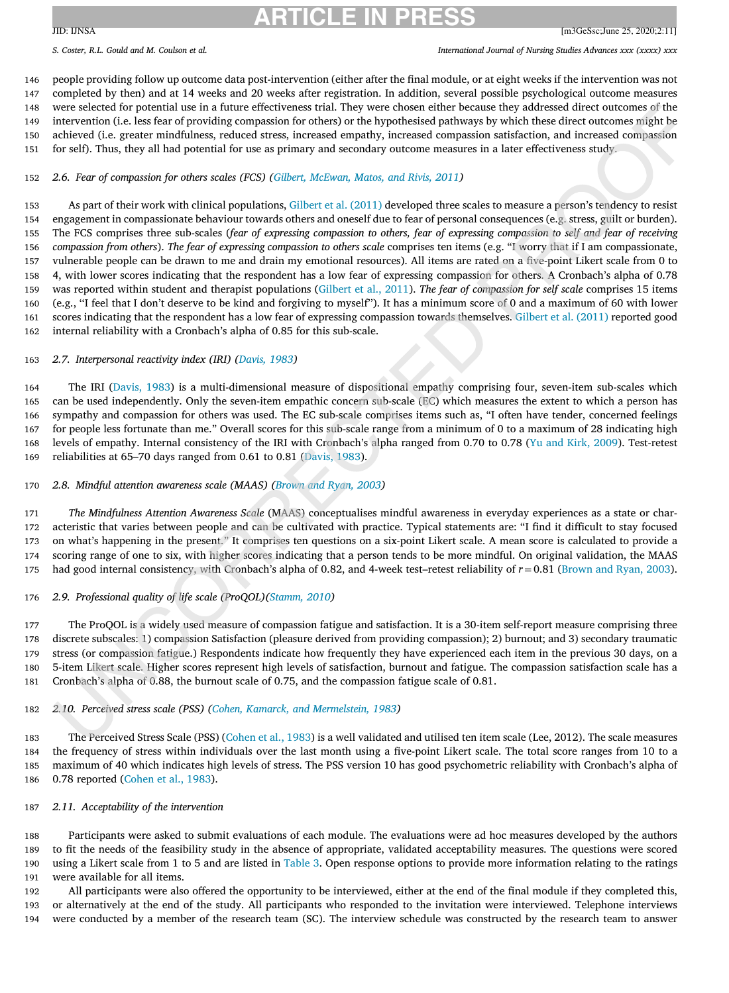S. Coster. R.L. Gould and M. Coulson et al. (2002) S. Coster and Mursing Studies Advances xxx (xxxx) xxx

 people providing follow up outcome data post-intervention (either after the final module, or at eight weeks if the intervention was not completed by then) and at 14 weeks and 20 weeks after registration. In addition, several possible psychological outcome measures were selected for potential use in a future effectiveness trial. They were chosen either because they addressed direct outcomes of the intervention (i.e. less fear of providing compassion for others) or the hypothesised pathways by which these direct outcomes might be achieved (i.e. greater mindfulness, reduced stress, increased empathy, increased compassion satisfaction, and increased compassion for self). Thus, they all had potential for use as primary and secondary outcome measures in a later effectiveness study.

## *2.6. Fear of compassion for others scales (FCS) (Gilbert, [McEwan,](#page-13-0) Matos, and Rivis, 2011)*

 As part of their work with clinical populations, [Gilbert](#page-13-0) et al. (2011) developed three scales to measure a person's tendency to resist engagement in compassionate behaviour towards others and oneself due to fear of personal consequences (e.g. stress, guilt or burden). 155 The FCS comprises three sub-scales (fear of expressing compassion to others, fear of expressing compassion to self and fear of receiving *compassion from others*). *The fear of expressing compassion to others scale* comprises ten items (e.g. "I worry that if I am compassionate, vulnerable people can be drawn to me and drain my emotional resources). All items are rated on a five-point Likert scale from 0 to 4, with lower scores indicating that the respondent has a low fear of expressing compassion for others. A Cronbach's alpha of 0.78 was reported within student and therapist populations [\(Gilbert](#page-13-0) et al., 2011). *The fear of compassion for self scale* comprises 15 items (e.g., ''I feel that I don't deserve to be kind and forgiving to myself''). It has a minimum score of 0 and a maximum of 60 with lower scores indicating that the respondent has a low fear of expressing compassion towards themselves. [Gilbert](#page-13-0) et al. (2011) reported good internal reliability with a Cronbach's alpha of 0.85 for this sub-scale.

## *2.7. Interpersonal reactivity index (IRI) [\(Davis,](#page-13-0) 1983)*

 The IRI [\(Davis,](#page-13-0) 1983) is a multi-dimensional measure of dispositional empathy comprising four, seven-item sub-scales which can be used independently. Only the seven-item empathic concern sub-scale (EC) which measures the extent to which a person has sympathy and compassion for others was used. The EC sub-scale comprises items such as, "I often have tender, concerned feelings for people less fortunate than me." Overall scores for this sub-scale range from a minimum of 0 to a maximum of 28 indicating high levels of empathy. Internal consistency of the IRI with Cronbach's alpha ranged from 0.70 to 0.78 (Yu and Kirk, [2009\)](#page-14-0). Test-retest reliabilities at 65–70 days ranged from 0.61 to 0.81 [\(Davis,](#page-13-0) 1983).

## *2.8. Mindful attention awareness scale (MAAS) [\(Brown](#page-13-0) and Ryan, 2003)*

 *The Mindfulness Attention Awareness Scale* (MAAS) conceptualises mindful awareness in everyday experiences as a state or char- acteristic that varies between people and can be cultivated with practice. Typical statements are: "I find it difficult to stay focused on what's happening in the present." It comprises ten questions on a six-point Likert scale. A mean score is calculated to provide a scoring range of one to six, with higher scores indicating that a person tends to be more mindful. On original validation, the MAAS had good internal consistency, with Cronbach's alpha of 0.82, and 4-week test–retest reliability of *r*=0.81 [\(Brown](#page-13-0) and Ryan, 2003).

## *2.9. Professional quality of life scale (ProQOL)[\(Stamm,](#page-14-0) 2010)*

 The ProQOL is a widely used measure of compassion fatigue and satisfaction. It is a 30-item self-report measure comprising three discrete subscales: 1) compassion Satisfaction (pleasure derived from providing compassion); 2) burnout; and 3) secondary traumatic stress (or compassion fatigue.) Respondents indicate how frequently they have experienced each item in the previous 30 days, on a 5-item Likert scale. Higher scores represent high levels of satisfaction, burnout and fatigue. The compassion satisfaction scale has a Cronbach's alpha of 0.88, the burnout scale of 0.75, and the compassion fatigue scale of 0.81.

## *2.10. Perceived stress scale (PSS) (Cohen, Kamarck, and [Mermelstein,](#page-13-0) 1983)*

 The Perceived Stress Scale (PSS) [\(Cohen](#page-13-0) et al., 1983) is a well validated and utilised ten item scale (Lee, 2012). The scale measures the frequency of stress within individuals over the last month using a five-point Likert scale. The total score ranges from 10 to a maximum of 40 which indicates high levels of stress. The PSS version 10 has good psychometric reliability with Cronbach's alpha of 0.78 reported [\(Cohen](#page-13-0) et al., 1983).

## *2.11. Acceptability of the intervention*

 Participants were asked to submit evaluations of each module. The evaluations were ad hoc measures developed by the authors to fit the needs of the feasibility study in the absence of appropriate, validated acceptability measures. The questions were scored using a Likert scale from 1 to 5 and are listed in [Table](#page-8-0) 3. Open response options to provide more information relating to the ratings were available for all items.

 All participants were also offered the opportunity to be interviewed, either at the end of the final module if they completed this, or alternatively at the end of the study. All participants who responded to the invitation were interviewed. Telephone interviews were conducted by a member of the research team (SC). The interview schedule was constructed by the research team to answer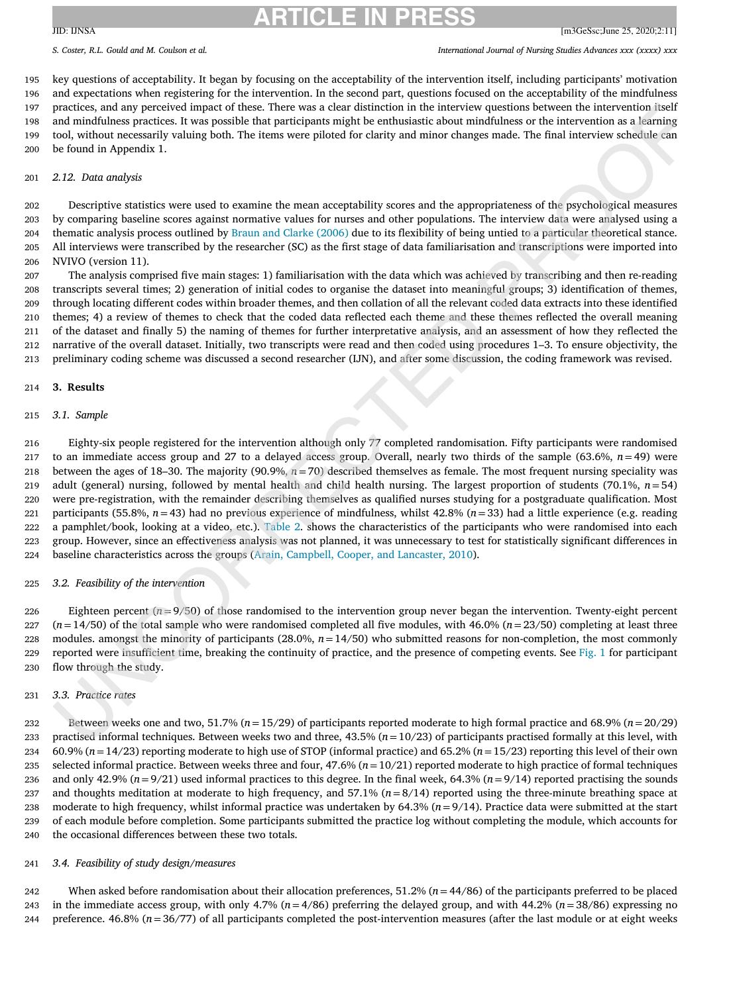#### S. Coster. R.L. Gould and M. Coulson et al. (2002) S. Coster and Mursing Studies Advances xxx (xxxx) xxx

 key questions of acceptability. It began by focusing on the acceptability of the intervention itself, including participants' motivation and expectations when registering for the intervention. In the second part, questions focused on the acceptability of the mindfulness practices, and any perceived impact of these. There was a clear distinction in the interview questions between the intervention itself and mindfulness practices. It was possible that participants might be enthusiastic about mindfulness or the intervention as a learning tool, without necessarily valuing both. The items were piloted for clarity and minor changes made. The final interview schedule can be found in Appendix 1.

#### *2.12. Data analysis*

 Descriptive statistics were used to examine the mean acceptability scores and the appropriateness of the psychological measures by comparing baseline scores against normative values for nurses and other populations. The interview data were analysed using a thematic analysis process outlined by Braun and Clarke [\(2006\)](#page-13-0) due to its flexibility of being untied to a particular theoretical stance. All interviews were transcribed by the researcher (SC) as the first stage of data familiarisation and transcriptions were imported into NVIVO (version 11).

 The analysis comprised five main stages: 1) familiarisation with the data which was achieved by transcribing and then re-reading transcripts several times; 2) generation of initial codes to organise the dataset into meaningful groups; 3) identification of themes, through locating different codes within broader themes, and then collation of all the relevant coded data extracts into these identified themes; 4) a review of themes to check that the coded data reflected each theme and these themes reflected the overall meaning of the dataset and finally 5) the naming of themes for further interpretative analysis, and an assessment of how they reflected the narrative of the overall dataset. Initially, two transcripts were read and then coded using procedures 1–3. To ensure objectivity, the preliminary coding scheme was discussed a second researcher (IJN), and after some discussion, the coding framework was revised.

#### **3. Results**

#### *3.1. Sample*

 Eighty-six people registered for the intervention although only 77 completed randomisation. Fifty participants were randomised to an immediate access group and 27 to a delayed access group. Overall, nearly two thirds of the sample (63.6%, *n*=49) were between the ages of 18–30. The majority (90.9%, *n*=70) described themselves as female. The most frequent nursing speciality was adult (general) nursing, followed by mental health and child health nursing. The largest proportion of students (70.1%, *n*=54) were pre-registration, with the remainder describing themselves as qualified nurses studying for a postgraduate qualification. Most 221 participants (55.8%,  $n=43$ ) had no previous experience of mindfulness, whilst  $42.8\%$  ( $n=33$ ) had a little experience (e.g. reading a pamphlet/book, looking at a video, etc.). [Table](#page-7-0) 2. shows the characteristics of the participants who were randomised into each group. However, since an effectiveness analysis was not planned, it was unnecessary to test for statistically significant differences in baseline characteristics across the groups (Arain, Campbell, Cooper, and [Lancaster,](#page-13-0) 2010).

#### *3.2. Feasibility of the intervention*

 Eighteen percent (*n*=9/50) of those randomised to the intervention group never began the intervention. Twenty-eight percent ( $n=14/50$ ) of the total sample who were randomised completed all five modules, with 46.0% ( $n=23/50$ ) completing at least three 228 modules. amongst the minority of participants  $(28.0\%, n=14/50)$  who submitted reasons for non-completion, the most commonly reported were insufficient time, breaking the continuity of practice, and the presence of competing events. See [Fig.](#page-6-0) 1 for participant flow through the study.

#### *3.3. Practice rates*

 Between weeks one and two, 51.7% (*n*=15/29) of participants reported moderate to high formal practice and 68.9% (*n*=20/29) practised informal techniques. Between weeks two and three, 43.5% (*n*=10/23) of participants practised formally at this level, with 60.9% (*n*=14/23) reporting moderate to high use of STOP (informal practice) and 65.2% (*n*=15/23) reporting this level of their own selected informal practice. Between weeks three and four, 47.6% (*n*=10/21) reported moderate to high practice of formal techniques and only 42.9% (*n*=9/21) used informal practices to this degree. In the final week, 64.3% (*n*=9/14) reported practising the sounds and thoughts meditation at moderate to high frequency, and 57.1% (*n*=8/14) reported using the three-minute breathing space at moderate to high frequency, whilst informal practice was undertaken by 64.3% (*n*=9/14). Practice data were submitted at the start of each module before completion. Some participants submitted the practice log without completing the module, which accounts for the occasional differences between these two totals.

#### *3.4. Feasibility of study design/measures*

 When asked before randomisation about their allocation preferences, 51.2% (*n*=44/86) of the participants preferred to be placed in the immediate access group, with only 4.7% (*n*=4/86) preferring the delayed group, and with 44.2% (*n*=38/86) expressing no preference. 46.8% (*n*=36/77) of all participants completed the post-intervention measures (after the last module or at eight weeks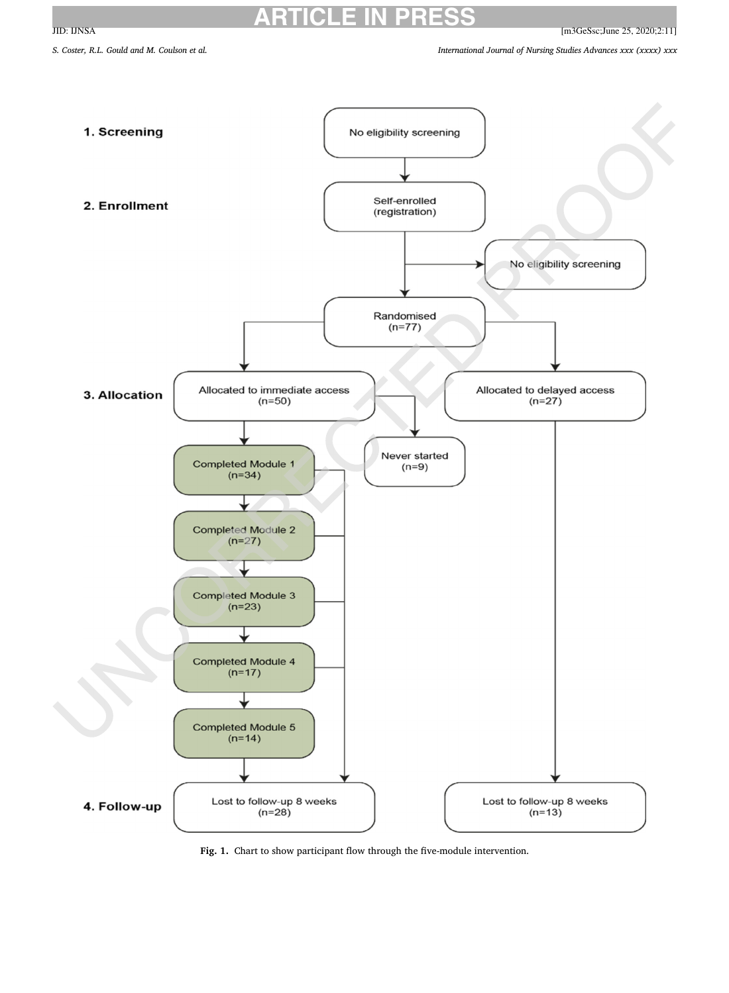<span id="page-6-0"></span>JID: IJNSA [m3GeSsc;June 25, 2020;2:11]

S. Coster, R.L. Gould and M. Coulson et al. (xxxx) xxx

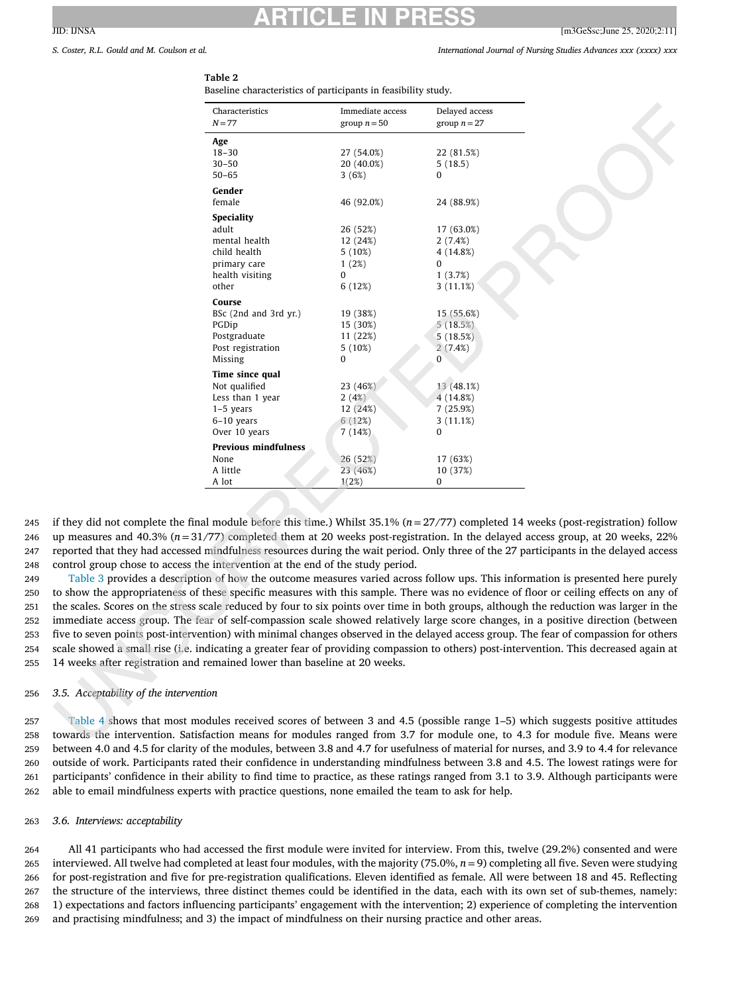## <span id="page-7-0"></span>**ARTICLE IN PRESS**  $JID: INSA$  [m3GeSsc;June 25, 2020;2:11]

## S. Coster. R.L. Gould and M. Coulson et al. (2002) S. Coster and Mursing Studies Advances xxx (xxxx) xxx

## **Table 2**

Baseline characteristics of participants in feasibility study.

| Characteristics             | Immediate access | Delayed access |
|-----------------------------|------------------|----------------|
| $N = 77$                    | group $n = 50$   | group $n = 27$ |
| Age                         |                  |                |
| $18 - 30$                   | 27 (54.0%)       | 22 (81.5%)     |
| $30 - 50$                   | 20 (40.0%)       | 5(18.5)        |
| $50 - 65$                   | 3(6%)            | 0              |
| Gender                      |                  |                |
| female                      | 46 (92.0%)       | 24 (88.9%)     |
| <b>Speciality</b>           |                  |                |
| adult                       | 26 (52%)         | 17 (63.0%)     |
| mental health               | 12 (24%)         | 2(7.4%)        |
| child health                | $5(10\%)$        | 4 (14.8%)      |
| primary care                | 1(2%)            | $\Omega$       |
| health visiting             | 0                | 1(3.7%)        |
| other                       | 6(12%)           | 3(11.1%)       |
| Course                      |                  |                |
| BSc (2nd and 3rd yr.)       | 19 (38%)         | 15 (55.6%)     |
| PGDip                       | 15 (30%)         | 5(18.5%)       |
| Postgraduate                | 11 (22%)         | 5(18.5%)       |
| Post registration           | $5(10\%)$        | 2(7.4%)        |
| Missing                     | 0                | 0              |
| Time since qual             |                  |                |
| Not qualified               | 23 (46%)         | 13 (48.1%)     |
| Less than 1 year            | 2(4%)            | 4 (14.8%)      |
| $1-5$ years                 | 12 (24%)         | 7 (25.9%)      |
| $6-10$ years                | 6(12%)           | 3(11.1%)       |
| Over 10 years               | 7(14%)           | $\Omega$       |
| <b>Previous mindfulness</b> |                  |                |
| None                        | 26 (52%)         | 17 (63%)       |
| A little                    | 23 (46%)         | 10 (37%)       |
| A lot                       | 1(2%)            | 0              |

 if they did not complete the final module before this time.) Whilst 35.1% (*n*=27/77) completed 14 weeks (post-registration) follow up measures and 40.3% (*n*=31/77) completed them at 20 weeks post-registration. In the delayed access group, at 20 weeks, 22% reported that they had accessed mindfulness resources during the wait period. Only three of the 27 participants in the delayed access control group chose to access the intervention at the end of the study period.

 [Table](#page-8-0) 3 provides a description of how the outcome measures varied across follow ups. This information is presented here purely to show the appropriateness of these specific measures with this sample. There was no evidence of floor or ceiling effects on any of the scales. Scores on the stress scale reduced by four to six points over time in both groups, although the reduction was larger in the immediate access group. The fear of self-compassion scale showed relatively large score changes, in a positive direction (between five to seven points post-intervention) with minimal changes observed in the delayed access group. The fear of compassion for others scale showed a small rise (i.e. indicating a greater fear of providing compassion to others) post-intervention. This decreased again at 14 weeks after registration and remained lower than baseline at 20 weeks.

## *3.5. Acceptability of the intervention*

 [Table](#page-9-0) 4 shows that most modules received scores of between 3 and 4.5 (possible range 1–5) which suggests positive attitudes towards the intervention. Satisfaction means for modules ranged from 3.7 for module one, to 4.3 for module five. Means were between 4.0 and 4.5 for clarity of the modules, between 3.8 and 4.7 for usefulness of material for nurses, and 3.9 to 4.4 for relevance outside of work. Participants rated their confidence in understanding mindfulness between 3.8 and 4.5. The lowest ratings were for participants' confidence in their ability to find time to practice, as these ratings ranged from 3.1 to 3.9. Although participants were able to email mindfulness experts with practice questions, none emailed the team to ask for help.

## *3.6. Interviews: acceptability*

 All 41 participants who had accessed the first module were invited for interview. From this, twelve (29.2%) consented and were interviewed. All twelve had completed at least four modules, with the majority (75.0%, *n*=9) completing all five. Seven were studying for post-registration and five for pre-registration qualifications. Eleven identified as female. All were between 18 and 45. Reflecting the structure of the interviews, three distinct themes could be identified in the data, each with its own set of sub-themes, namely: 1) expectations and factors influencing participants' engagement with the intervention; 2) experience of completing the intervention and practising mindfulness; and 3) the impact of mindfulness on their nursing practice and other areas.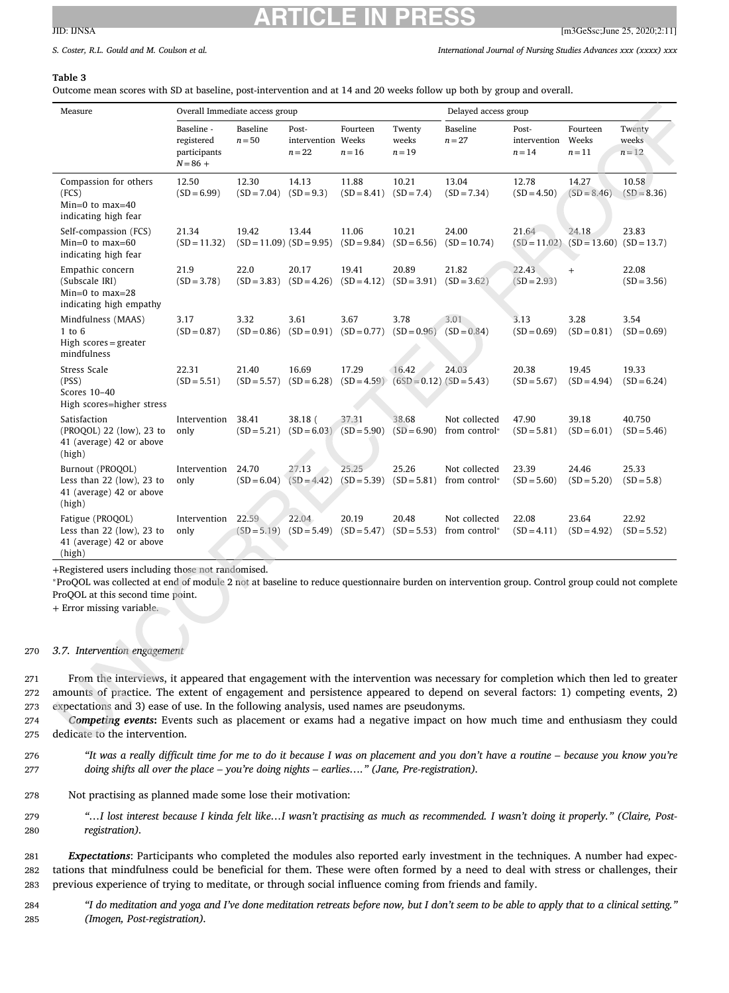<span id="page-8-0"></span>S. Coster. R.L. Gould and M. Coulson et al. (2002) S. Coster and Mursing Studies Advances xxx (xxxx) xxx

## **Table 3**

Outcome mean scores with SD at baseline, post-intervention and at 14 and 20 weeks follow up both by group and overall.

| Measure                                                                                 | Overall Immediate access group                         |                        |                                     |                               | Delayed access group                |                                |                                   |                                        |                             |
|-----------------------------------------------------------------------------------------|--------------------------------------------------------|------------------------|-------------------------------------|-------------------------------|-------------------------------------|--------------------------------|-----------------------------------|----------------------------------------|-----------------------------|
|                                                                                         | Baseline -<br>registered<br>participants<br>$N = 86 +$ | Baseline<br>$n = 50$   | Post-<br>intervention<br>$n = 22$   | Fourteen<br>Weeks<br>$n = 16$ | Twenty<br>weeks<br>$n = 19$         | Baseline<br>$n = 27$           | Post-<br>intervention<br>$n = 14$ | Fourteen<br>Weeks<br>$n = 11$          | Twenty<br>weeks<br>$n = 12$ |
| Compassion for others<br>(FCS)<br>$Min=0$ to $max=40$<br>indicating high fear           | 12.50<br>$(SD = 6.99)$                                 | 12.30<br>$(SD = 7.04)$ | 14.13<br>$(SD = 9.3)$               | 11.88<br>$(SD = 8.41)$        | 10.21<br>$(SD = 7.4)$               | 13.04<br>$(SD = 7.34)$         | 12.78<br>$(SD = 4.50)$            | 14.27<br>$(SD = 8.46)$                 | 10.58<br>$(SD = 8.36)$      |
| Self-compassion (FCS)<br>$Min=0$ to $max=60$<br>indicating high fear                    | 21.34<br>$(SD = 11.32)$                                | 19.42                  | 13.44<br>$(SD = 11.09) (SD = 9.95)$ | 11.06<br>$(SD = 9.84)$        | 10.21<br>$(SD = 6.56)$              | 24.00<br>$(SD = 10.74)$        | 21.64                             | 24.18<br>$(SD = 11.02)$ $(SD = 13.60)$ | 23.83<br>$(SD = 13.7)$      |
| Empathic concern<br>(Subscale IRI)<br>$Min=0$ to $max=28$<br>indicating high empathy    | 21.9<br>$(SD = 3.78)$                                  | 22.0<br>$(SD = 3.83)$  | 20.17<br>$(SD = 4.26)$              | 19.41<br>$(SD = 4.12)$        | 20.89<br>$(SD = 3.91)$              | 21.82<br>$(SD = 3.62)$         | 22.43<br>$(SD = 2.93)$            | $+$                                    | 22.08<br>$(SD = 3.56)$      |
| Mindfulness (MAAS)<br>$1$ to $6$<br>High $scores = greater$<br>mindfulness              | 3.17<br>$(SD = 0.87)$                                  | 3.32<br>$(SD = 0.86)$  | 3.61<br>$(SD = 0.91)$               | 3.67<br>$(SD = 0.77)$         | 3.78<br>$(SD = 0.96)$               | 3.01<br>$(SD = 0.84)$          | 3.13<br>$(SD = 0.69)$             | 3.28<br>$(SD = 0.81)$                  | 3.54<br>$(SD = 0.69)$       |
| Stress Scale<br>(PSS)<br>Scores 10-40<br>High scores=higher stress                      | 22.31<br>$(SD = 5.51)$                                 | 21.40<br>$(SD = 5.57)$ | 16.69<br>$(SD = 6.28)$              | 17.29<br>$(SD = 4.59)$        | 16.42<br>$(6SD = 0.12) (SD = 5.43)$ | 24.03                          | 20.38<br>$(SD = 5.67)$            | 19.45<br>$(SD = 4.94)$                 | 19.33<br>$(SD = 6.24)$      |
| Satisfaction<br>(PROQOL) 22 (low), 23 to<br>41 (average) 42 or above<br>(high)          | Intervention<br>only                                   | 38.41<br>$(SD = 5.21)$ | 38.18 (<br>$(SD = 6.03)$            | 37.31<br>$(SD = 5.90)$        | 38.68<br>$(SD = 6.90)$              | Not collected<br>from control* | 47.90<br>$(SD = 5.81)$            | 39.18<br>$(SD = 6.01)$                 | 40.750<br>$(SD = 5.46)$     |
| Burnout (PROQOL)<br>Less than $22$ (low), $23$ to<br>41 (average) 42 or above<br>(high) | Intervention<br>only                                   | 24.70<br>$(SD = 6.04)$ | 27.13<br>$(SD = 4.42)$              | 25.25<br>$(SD = 5.39)$        | 25.26<br>$(SD = 5.81)$              | Not collected<br>from control* | 23.39<br>$(SD = 5.60)$            | 24.46<br>$(SD = 5.20)$                 | 25.33<br>$(SD = 5.8)$       |
| Fatigue (PROQOL)<br>Less than $22$ (low), $23$ to<br>41 (average) 42 or above<br>(high) | Intervention<br>only                                   | 22.59<br>$(SD = 5.19)$ | 22.04<br>$(SD = 5.49)$              | 20.19<br>$(SD = 5.47)$        | 20.48<br>$(SD = 5.53)$              | Not collected<br>from control* | 22.08<br>$(SD = 4.11)$            | 23.64<br>$(SD = 4.92)$                 | 22.92<br>$(SD = 5.52)$      |

+Registered users including those not randomised.

<sup>∗</sup>ProQOL was collected at end of module 2 not at baseline to reduce questionnaire burden on intervention group. Control group could not complete ProQOL at this second time point.

+ Error missing variable.

#### 270 *3.7. Intervention engagement*

271 From the interviews, it appeared that engagement with the intervention was necessary for completion which then led to greater 272 amounts of practice. The extent of engagement and persistence appeared to depend on several factors: 1) competing events, 2) 273 expectations and 3) ease of use. In the following analysis, used names are pseudonyms.

- 274 *Competing events***:** Events such as placement or exams had a negative impact on how much time and enthusiasm they could 275 dedicate to the intervention.
- 276 "It was a really difficult time for me to do it because I was on placement and you don't have a routine because you know you're 277 *doing shifts all over the place – you're doing nights – earlies…." (Jane, Pre-registration).*
- 278 Not practising as planned made some lose their motivation:
- 279 "...I lost interest because I kinda felt like...I wasn't practising as much as recommended. I wasn't doing it properly." (Claire, Post-280 *registration).*

281 *Expectations*: Participants who completed the modules also reported early investment in the techniques. A number had expec-282 tations that mindfulness could be beneficial for them. These were often formed by a need to deal with stress or challenges, their 283 previous experience of trying to meditate, or through social influence coming from friends and family.

284 "I do meditation and yoga and I've done meditation retreats before now, but I don't seem to be able to apply that to a clinical setting." 285 *(Imogen, Post-registration).*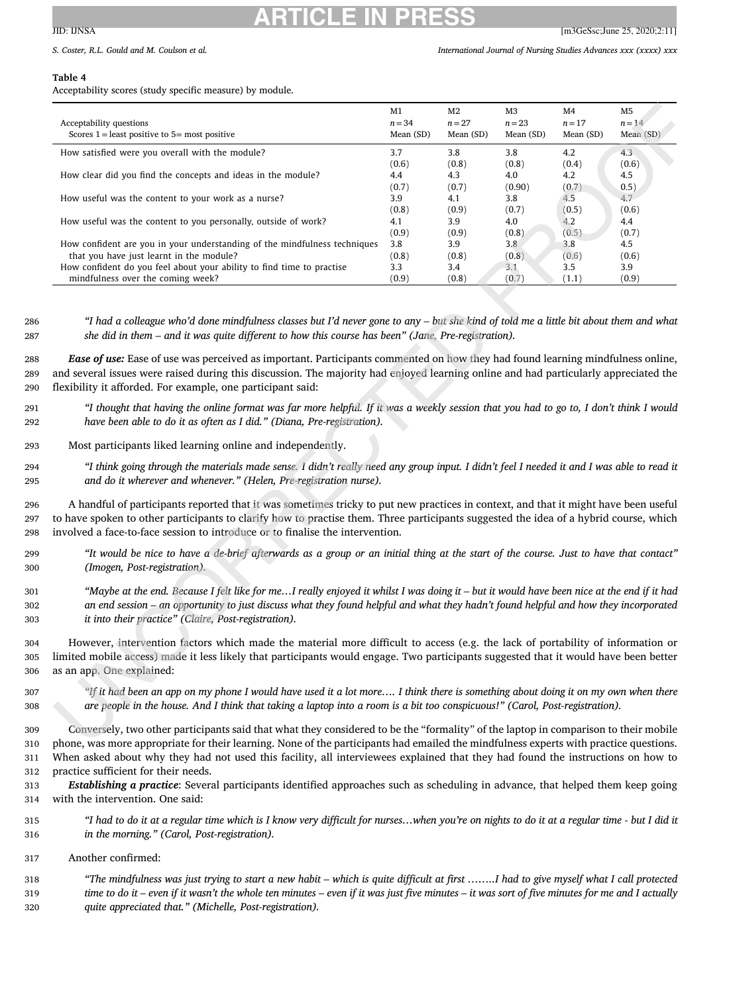## <span id="page-9-0"></span>**ARTICLE IN PRESS**  $JID: IINSA$  [m3GeSsc;June 25, 2020;2:11]

#### **Table 4**

Acceptability scores (study specific measure) by module.

| Acceptability questions<br>Scores $1 =$ least positive to $5 =$ most positive | M1<br>$n = 34$<br>Mean (SD) | M <sub>2</sub><br>$n=27$<br>Mean (SD) | M3<br>$n = 23$<br>Mean (SD) | M4<br>$n=17$<br>Mean (SD) | M5<br>$n = 14$<br>Mean (SD) |
|-------------------------------------------------------------------------------|-----------------------------|---------------------------------------|-----------------------------|---------------------------|-----------------------------|
| How satisfied were you overall with the module?                               | 3.7                         | 3.8                                   | 3.8                         | 4.2                       | 4.3                         |
|                                                                               | (0.6)                       | (0.8)                                 | (0.8)                       | (0.4)                     | (0.6)                       |
| How clear did you find the concepts and ideas in the module?                  | 4.4                         | 4.3                                   | 4.0                         | 4.2                       | 4.5                         |
|                                                                               | (0.7)                       | (0.7)                                 | (0.90)                      | (0.7)                     | 0.5)                        |
| How useful was the content to your work as a nurse?                           | 3.9                         | 4.1                                   | 3.8                         | 4.5                       | 4.7                         |
|                                                                               | (0.8)                       | (0.9)                                 | (0.7)                       | (0.5)                     | (0.6)                       |
| How useful was the content to you personally, outside of work?                | 4.1                         | 3.9                                   | 4.0                         | 4.2                       | 4.4                         |
|                                                                               | (0.9)                       | (0.9)                                 | (0.8)                       | (0.5)                     | (0.7)                       |
| How confident are you in your understanding of the mindfulness techniques     | 3.8                         | 3.9                                   | 3.8                         | 3.8                       | 4.5                         |
| that you have just learnt in the module?                                      | (0.8)                       | (0.8)                                 | (0.8)                       | (0.6)                     | (0.6)                       |
| How confident do you feel about your ability to find time to practise         | 3.3                         | 3.4                                   | 3.1                         | 3.5                       | 3.9                         |
| mindfulness over the coming week?                                             | (0.9)                       | (0.8)                                 | (0.7)                       | (1.1)                     | (0.9)                       |

286 "I had a colleague who'd done mindfulness classes but I'd never gone to any - but she kind of told me a little bit about them and what 287 *she did in them – and it was quite different to how this course has been" (Jane, Pre-registration).*

288 *Ease of use:* Ease of use was perceived as important. Participants commented on how they had found learning mindfulness online, 289 and several issues were raised during this discussion. The majority had enjoyed learning online and had particularly appreciated the 290 flexibility it afforded. For example, one participant said:

- 291 "I thought that having the online format was far more helpful. If it was a weekly session that you had to go to, I don't think I would 292 *have been able to do it as often as I did." (Diana, Pre-registration).*
- 293 Most participants liked learning online and independently.

294 "I think going through the materials made sense. I didn't really need any group input. I didn't feel I needed it and I was able to read it 295 *and do it wherever and whenever." (Helen, Pre-registration nurse).*

296 A handful of participants reported that it was sometimes tricky to put new practices in context, and that it might have been useful 297 to have spoken to other participants to clarify how to practise them. Three participants suggested the idea of a hybrid course, which 298 involved a face-to-face session to introduce or to finalise the intervention.

- 299 "It would be nice to have a de-brief afterwards as a group or an initial thing at the start of the course. Just to have that contact" 300 *(Imogen, Post-registration).*
- 301 "Maybe at the end. Because I felt like for me...I really enjoyed it whilst I was doing it but it would have been nice at the end if it had an end session – an opportunity to just discuss what they found helpful and what they hadn't found helpful and how they incorporated 303 *it into their practice" (Claire, Post-registration).*

304 However, intervention factors which made the material more difficult to access (e.g. the lack of portability of information or 305 limited mobile access) made it less likely that participants would engage. Two participants suggested that it would have been better 306 as an app. One explained:

307 *"If it had been an app on my phone I would have used it a lot more…. I think there is something about doing it on my own when there* 308 are people in the house. And I think that taking a laptop into a room is a bit too conspicuous!" (Carol, Post-registration).

 Conversely, two other participants said that what they considered to be the "formality" of the laptop in comparison to their mobile phone, was more appropriate for their learning. None of the participants had emailed the mindfulness experts with practice questions. When asked about why they had not used this facility, all interviewees explained that they had found the instructions on how to practice sufficient for their needs.

313 *Establishing a practice*: Several participants identified approaches such as scheduling in advance, that helped them keep going 314 with the intervention. One said:

- 315 "I had to do it at a regular time which is I know very difficult for nurses...when you're on nights to do it at a regular time but I did it 316 *in the morning." (Carol, Post-registration).*
- 317 Another confirmed:

318 "The mindfulness was just trying to start a new habit - which is quite difficult at first ........I had to give myself what I call protected ime to do it – even if it wasn't the whole ten minutes – even if it was just five minutes – it was sort of five minutes for me and I actually 320 *quite appreciated that." (Michelle, Post-registration).*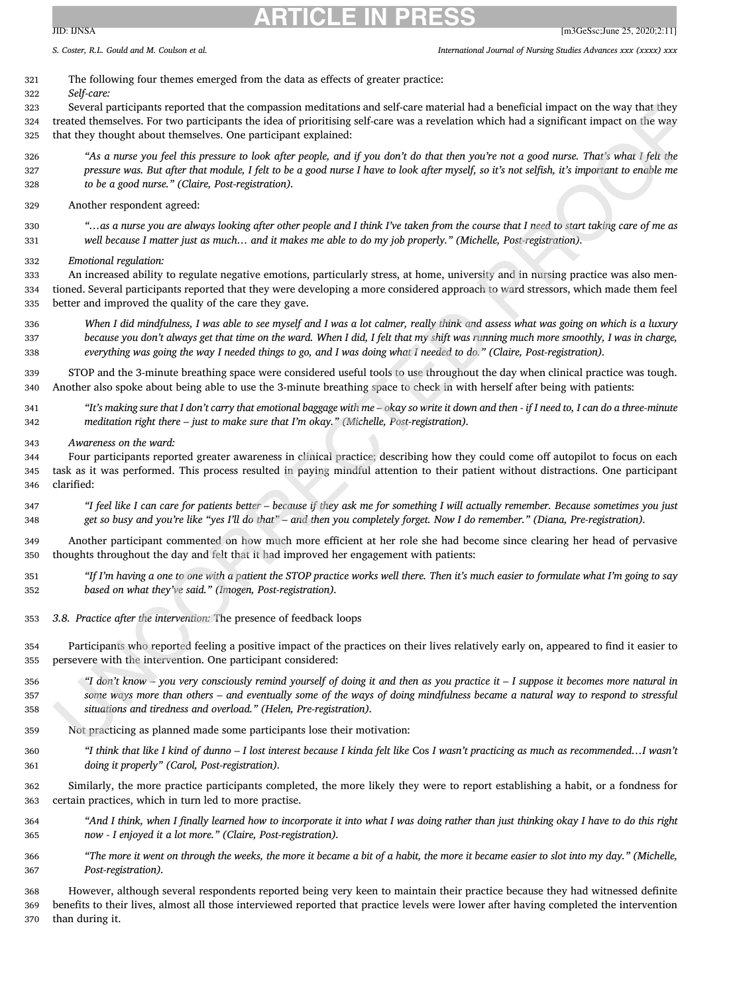S. Coster. R.L. Gould and M. Coulson et al. (2002) S. Coster and Mursing Studies Advances xxx (xxxx) xxx

## The following four themes emerged from the data as effects of greater practice:

*Self-care:*

 Several participants reported that the compassion meditations and self-care material had a beneficial impact on the way that they treated themselves. For two participants the idea of prioritising self-care was a revelation which had a significant impact on the way that they thought about themselves. One participant explained:

"As a nurse you feel this pressure to look after people, and if you don't do that then you're not a good nurse. That's what I felt the 327 pressure was. But after that module, I felt to be a good nurse I have to look after myself, so it's not selfish, it's important to enable me *to be a good nurse." (Claire, Post-registration).*

Another respondent agreed:

330 "...as a nurse you are always looking after other people and I think I've taken from the course that I need to start taking care of me as 331 well because I matter just as much... and it makes me able to do my job properly." (Michelle, Post-registration).

*Emotional regulation:*

 An increased ability to regulate negative emotions, particularly stress, at home, university and in nursing practice was also men- tioned. Several participants reported that they were developing a more considered approach to ward stressors, which made them feel better and improved the quality of the care they gave.

336 When I did mindfulness, I was able to see myself and I was a lot calmer, really think and assess what was going on which is a luxury 337 because you don't always get that time on the ward. When I did, I felt that my shift was running much more smoothly, I was in charge, 338 everything was going the way I needed things to go, and I was doing what I needed to do." (Claire, Post-registration).

 STOP and the 3-minute breathing space were considered useful tools to use throughout the day when clinical practice was tough. Another also spoke about being able to use the 3-minute breathing space to check in with herself after being with patients:

- 341 "It's making sure that I don't carry that emotional baggage with me okay so write it down and then if I need to, I can do a three-minute *meditation right there – just to make sure that I'm okay." (Michelle, Post-registration).*
- *Awareness on the ward:*

 Four participants reported greater awareness in clinical practice; describing how they could come off autopilot to focus on each task as it was performed. This process resulted in paying mindful attention to their patient without distractions. One participant clarified:

347 "I feel like I can care for patients better - because if they ask me for something I will actually remember. Because sometimes you just 348 get so busy and you're like "yes I'll do that" - and then you completely forget. Now I do remember." (Diana, Pre-registration).

 Another participant commented on how much more efficient at her role she had become since clearing her head of pervasive thoughts throughout the day and felt that it had improved her engagement with patients:

- 351 "If I'm having a one to one with a patient the STOP practice works well there. Then it's much easier to formulate what I'm going to say *based on what they've said." (Imogen, Post-registration).*
- *3.8. Practice after the intervention:* The presence of feedback loops
- Participants who reported feeling a positive impact of the practices on their lives relatively early on, appeared to find it easier to persevere with the intervention. One participant considered:
- 356 "I don't know you very consciously remind yourself of doing it and then as you practice it I suppose it becomes more natural in some ways more than others – and eventually some of the ways of doing mindfulness became a natural way to respond to stressful *situations and tiredness and overload." (Helen, Pre-registration).*
- Not practicing as planned made some participants lose their motivation:
- 360 "I think that like I kind of dunno I lost interest because I kinda felt like Cos I wasn't practicing as much as recommended...I wasn't *doing it properly" (Carol, Post-registration).*
- Similarly, the more practice participants completed, the more likely they were to report establishing a habit, or a fondness for certain practices, which in turn led to more practise.
- 364 "And I think, when I finally learned how to incorporate it into what I was doing rather than just thinking okay I have to do this right *now - I enjoyed it a lot more." (Claire, Post-registration).*
- 366 "The more it went on through the weeks, the more it became a bit of a habit, the more it became easier to slot into my day." (Michelle, *Post-registration).*

 However, although several respondents reported being very keen to maintain their practice because they had witnessed definite benefits to their lives, almost all those interviewed reported that practice levels were lower after having completed the intervention than during it.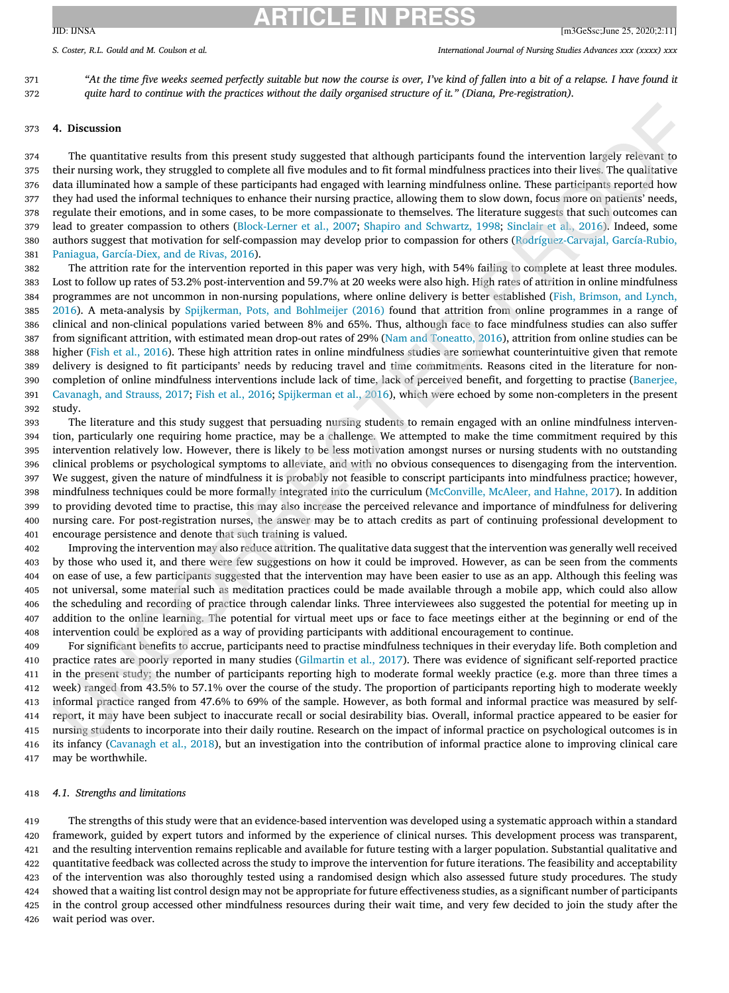## **ARTICLE IN PRESS**  $JID: INSA$  [m3GeSsc;June 25, 2020;2:11]

S. Coster. R.L. Gould and M. Coulson et al. (2002) S. Coster and Mursing Studies Advances xxx (xxxx) xxx

371 "At the time five weeks seemed perfectly suitable but now the course is over, I've kind of fallen into a bit of a relapse. I have found it *quite hard to continue with the practices without the daily organised structure of it." (Diana, Pre-registration).*

## **4. Discussion**

 The quantitative results from this present study suggested that although participants found the intervention largely relevant to their nursing work, they struggled to complete all five modules and to fit formal mindfulness practices into their lives. The qualitative data illuminated how a sample of these participants had engaged with learning mindfulness online. These participants reported how they had used the informal techniques to enhance their nursing practice, allowing them to slow down, focus more on patients' needs, regulate their emotions, and in some cases, to be more compassionate to themselves. The literature suggests that such outcomes can lead to greater compassion to others [\(Block-Lerner](#page-13-0) et al., 2007; Shapiro and [Schwartz,](#page-14-0) 1998; [Sinclair](#page-14-0) et al., 2016). Indeed, some authors suggest that motivation for self-compassion may develop prior to compassion for others [\(Rodríguez-Carvajal,](#page-14-0) García-Rubio, Paniagua, García-Diex, and de Rivas, 2016).

 The attrition rate for the intervention reported in this paper was very high, with 54% failing to complete at least three modules. Lost to follow up rates of 53.2% post-intervention and 59.7% at 20 weeks were also high. High rates of attrition in online mindfulness programmes are not uncommon in non-nursing populations, where online delivery is better established (Fish, Brimson, and Lynch, 2016). A [meta-analysis](#page-13-0) by [Spijkerman,](#page-14-0) Pots, and Bohlmeijer (2016) found that attrition from online programmes in a range of clinical and non-clinical populations varied between 8% and 65%. Thus, although face to face mindfulness studies can also suffer from significant attrition, with estimated mean drop-out rates of 29% (Nam and [Toneatto,](#page-14-0) 2016), attrition from online studies can be higher (Fish et al., [2016\)](#page-13-0). These high attrition rates in online mindfulness studies are somewhat counterintuitive given that remote delivery is designed to fit participants' needs by reducing travel and time commitments. Reasons cited in the literature for non- completion of online mindfulness interventions include lack of time, lack of perceived benefit, and forgetting to practise (Banerjee, Cavanagh, and Strauss, 2017; Fish et al., [2016;](#page-13-0) [Spijkerman](#page-14-0) et al., 2016), which were echoed by some [non-completers](#page-13-0) in the present study.

 The literature and this study suggest that persuading nursing students to remain engaged with an online mindfulness interven- tion, particularly one requiring home practice, may be a challenge. We attempted to make the time commitment required by this intervention relatively low. However, there is likely to be less motivation amongst nurses or nursing students with no outstanding clinical problems or psychological symptoms to alleviate, and with no obvious consequences to disengaging from the intervention. We suggest, given the nature of mindfulness it is probably not feasible to conscript participants into mindfulness practice; however, mindfulness techniques could be more formally integrated into the curriculum [\(McConville,](#page-14-0) McAleer, and Hahne, 2017). In addition to providing devoted time to practise, this may also increase the perceived relevance and importance of mindfulness for delivering nursing care. For post-registration nurses, the answer may be to attach credits as part of continuing professional development to encourage persistence and denote that such training is valued.

 Improving the intervention may also reduce attrition. The qualitative data suggest that the intervention was generally well received by those who used it, and there were few suggestions on how it could be improved. However, as can be seen from the comments on ease of use, a few participants suggested that the intervention may have been easier to use as an app. Although this feeling was not universal, some material such as meditation practices could be made available through a mobile app, which could also allow the scheduling and recording of practice through calendar links. Three interviewees also suggested the potential for meeting up in addition to the online learning. The potential for virtual meet ups or face to face meetings either at the beginning or end of the intervention could be explored as a way of providing participants with additional encouragement to continue.

 For significant benefits to accrue, participants need to practise mindfulness techniques in their everyday life. Both completion and practice rates are poorly reported in many studies [\(Gilmartin](#page-13-0) et al., 2017). There was evidence of significant self-reported practice in the present study; the number of participants reporting high to moderate formal weekly practice (e.g. more than three times a week) ranged from 43.5% to 57.1% over the course of the study. The proportion of participants reporting high to moderate weekly informal practice ranged from 47.6% to 69% of the sample. However, as both formal and informal practice was measured by self- report, it may have been subject to inaccurate recall or social desirability bias. Overall, informal practice appeared to be easier for nursing students to incorporate into their daily routine. Research on the impact of informal practice on psychological outcomes is in its infancy [\(Cavanagh](#page-13-0) et al., 2018), but an investigation into the contribution of informal practice alone to improving clinical care may be worthwhile.

#### *4.1. Strengths and limitations*

 The strengths of this study were that an evidence-based intervention was developed using a systematic approach within a standard framework, guided by expert tutors and informed by the experience of clinical nurses. This development process was transparent, and the resulting intervention remains replicable and available for future testing with a larger population. Substantial qualitative and quantitative feedback was collected across the study to improve the intervention for future iterations. The feasibility and acceptability of the intervention was also thoroughly tested using a randomised design which also assessed future study procedures. The study showed that a waiting list control design may not be appropriate for future effectiveness studies, as a significant number of participants in the control group accessed other mindfulness resources during their wait time, and very few decided to join the study after the wait period was over.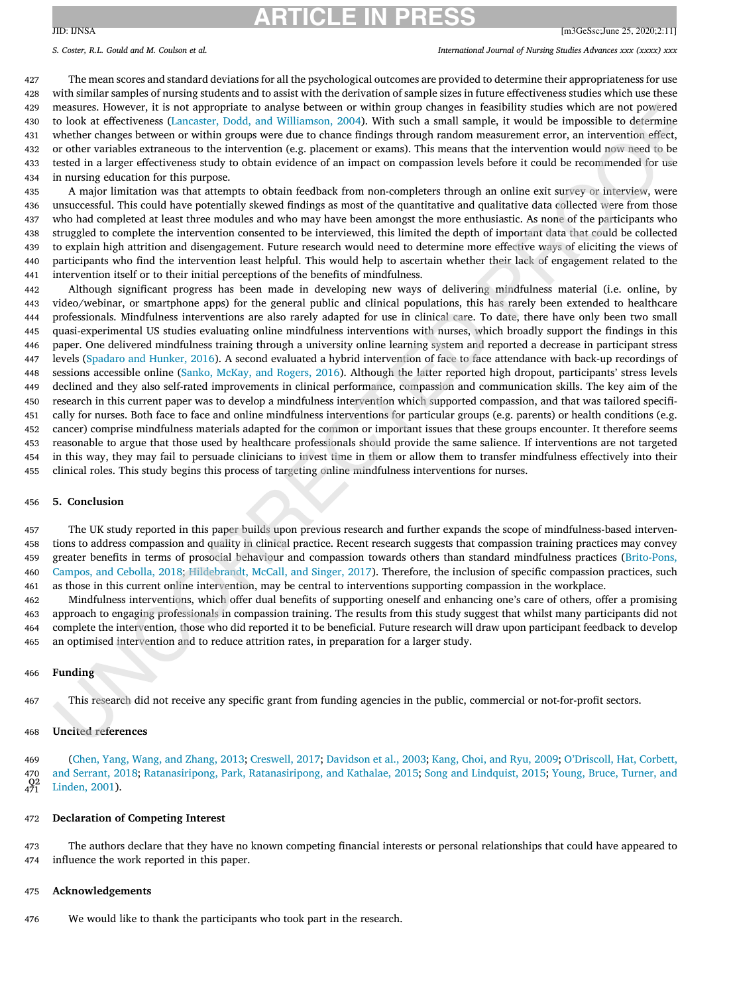S. Coster. R.L. Gould and M. Coulson et al. (2002) S. Coster and Mursing Studies Advances xxx (xxxx) xxx

 The mean scores and standard deviations for all the psychological outcomes are provided to determine their appropriateness for use with similar samples of nursing students and to assist with the derivation of sample sizes in future effectiveness studies which use these measures. However, it is not appropriate to analyse between or within group changes in feasibility studies which are not powered to look at effectiveness (Lancaster, Dodd, and [Williamson,](#page-14-0) 2004). With such a small sample, it would be impossible to determine whether changes between or within groups were due to chance findings through random measurement error, an intervention effect, or other variables extraneous to the intervention (e.g. placement or exams). This means that the intervention would now need to be tested in a larger effectiveness study to obtain evidence of an impact on compassion levels before it could be recommended for use in nursing education for this purpose.

 A major limitation was that attempts to obtain feedback from non-completers through an online exit survey or interview, were unsuccessful. This could have potentially skewed findings as most of the quantitative and qualitative data collected were from those who had completed at least three modules and who may have been amongst the more enthusiastic. As none of the participants who struggled to complete the intervention consented to be interviewed, this limited the depth of important data that could be collected to explain high attrition and disengagement. Future research would need to determine more effective ways of eliciting the views of participants who find the intervention least helpful. This would help to ascertain whether their lack of engagement related to the intervention itself or to their initial perceptions of the benefits of mindfulness.

 Although significant progress has been made in developing new ways of delivering mindfulness material (i.e. online, by video/webinar, or smartphone apps) for the general public and clinical populations, this has rarely been extended to healthcare professionals. Mindfulness interventions are also rarely adapted for use in clinical care. To date, there have only been two small quasi-experimental US studies evaluating online mindfulness interventions with nurses, which broadly support the findings in this paper. One delivered mindfulness training through a university online learning system and reported a decrease in participant stress levels [\(Spadaro](#page-14-0) and Hunker, 2016). A second evaluated a hybrid intervention of face to face attendance with back-up recordings of sessions accessible online (Sanko, [McKay,](#page-14-0) and Rogers, 2016). Although the latter reported high dropout, participants' stress levels declined and they also self-rated improvements in clinical performance, compassion and communication skills. The key aim of the research in this current paper was to develop a mindfulness intervention which supported compassion, and that was tailored specifi- cally for nurses. Both face to face and online mindfulness interventions for particular groups (e.g. parents) or health conditions (e.g. cancer) comprise mindfulness materials adapted for the common or important issues that these groups encounter. It therefore seems reasonable to argue that those used by healthcare professionals should provide the same salience. If interventions are not targeted in this way, they may fail to persuade clinicians to invest time in them or allow them to transfer mindfulness effectively into their clinical roles. This study begins this process of targeting online mindfulness interventions for nurses.

#### **5. Conclusion**

 The UK study reported in this paper builds upon previous research and further expands the scope of mindfulness-based interven- tions to address compassion and quality in clinical practice. Recent research suggests that compassion training practices may convey greater benefits in terms of prosocial behaviour and compassion towards others than standard mindfulness practices (Brito-Pons, Campos, and Cebolla, 2018; [Hildebrandt,](#page-13-0) McCall, and Singer, 2017). Therefore, the inclusion of specific compassion practices, such as those in this current online intervention, may be central to interventions supporting compassion in the workplace.

 Mindfulness interventions, which offer dual benefits of supporting oneself and enhancing one's care of others, offer a promising approach to engaging professionals in compassion training. The results from this study suggest that whilst many participants did not complete the intervention, those who did reported it to be beneficial. Future research will draw upon participant feedback to develop an optimised intervention and to reduce attrition rates, in preparation for a larger study.

#### **Funding**

This research did not receive any specific grant from funding agencies in the public, commercial or not-for-profit sectors.

## **Uncited references**

 (Chen, Yang, Wang, and [Zhang,](#page-13-0) 2013; [Creswell,](#page-13-0) 2017; [Davidson](#page-13-0) et al., 2003; [Kang,](#page-14-0) Choi, and Ryu, 2009; O'Driscoll, Hat, Corbett, and Serrant, 2018; [Ratanasiripong,](#page-14-0) Park, Ratanasiripong, and Kathalae, 2015; Song and [Lindquist,](#page-14-0) 2015; Young, Bruce, Turner, and Linden, 2001).  $^{Q2}_{471}$ 

## **Declaration of Competing Interest**

 The authors declare that they have no known competing financial interests or personal relationships that could have appeared to influence the work reported in this paper.

#### **Acknowledgements**

We would like to thank the participants who took part in the research.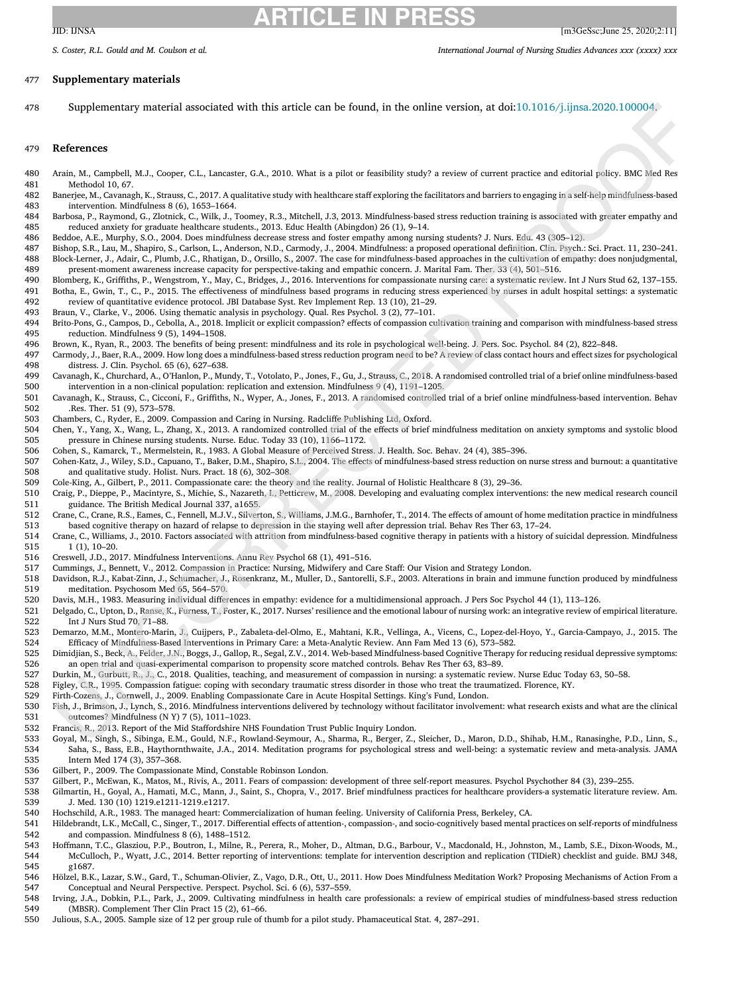## <span id="page-13-0"></span>477 **Supplementary materials**

478 Supplementary material associated with this article can be found, in the online version, at doi[:10.1016/j.ijnsa.2020.100004.](https://doi.org/10.1016/j.ijnsa.2020.100004)

## 479 **References**

- 480 Arain, M., Campbell, M.J., Cooper, C.L., Lancaster, G.A., 2010. What is a pilot or feasibility study? a review of current practice and editorial policy. BMC Med Res 481 Methodol 10, 67.<br>482 Baneriee, M., Cavanas
- 482 Banerjee, M., Cavanagh, K., Strauss, C., 2017. A qualitative study with healthcare staff exploring the facilitators and barriers to engaging in a self-help mindfulness-based<br>483 intervention. Mindfulness 8 (6). 1653–16 intervention. Mindfulness 8 (6), 1653-1664.
- 484 Barbosa, P., Raymond, G., Zlotnick, C., Wilk, J., Toomey, R.3., Mitchell, J.3, 2013. Mindfulness-based stress reduction training is associated with greater empathy and reduced anxiety for graduate healthcare students.. 485 reduced anxiety for graduate healthcare students., 2013. Educ Health (Abingdon) 26 (1), 9–14.
- 486 Beddoe, A.E., Murphy, S.O., 2004. Does mindfulness decrease stress and foster empathy among nursing students? J. Nurs. Edu. 43 (305–12).
- 487 Bishop, S.R., Lau, M., Shapiro, S., Carlson, L., Anderson, N.D., Carmody, J., 2004. Mindfulness: a proposed operational definition. Clin. Psych.: Sci. Pract. 11, 230–241. Block-Lerner, J., Adair, C., Plumb, J.C., Rhatigan, D., Orsillo, S., 2007. The case for mindfulness-based approaches in the cultivation of empathy: does nonjudgmental 489 present-moment awareness increase capacity for perspective-taking and empathic concern. J. Marital Fam. Ther. 33 (4), 501–516.<br>490 Blomberg. K.. Griffiths. P.. Wengstrom. Y.. May. C.. Bridges. J.. 2016. Interventions f
- 490 Blomberg, K., Griffiths, P., Wengstrom, Y., May, C., Bridges, J., 2016. Interventions for compassionate nursing care: a systematic review. Int J Nurs Stud 62, 137-155.<br>491 Botha, E., Gwin, T., C., P., 2015. The effecti 491 Botha, E., Gwin, T., C., P., 2015. The effectiveness of mindfulness based programs in reducing stress experienced by nurses in adult hospital settings: a systematic<br>492 review of quantitative evidence protocol. JBI Dat 492 review of quantitative evidence protocol. JBI Database Syst. Rev Implement Rep. 13 (10), 21–29.
- 493 Braun, V., Clarke, V., 2006. Using thematic analysis in psychology. Qual. Res Psychol. 3 (2), 77–101.<br>494 Brito-Pons G. Campos D. Cebolla, A. 2018. Implicit or explicit compassion? effects of compassion cu
- 494 Brito-Pons, G., Campos, D., Cebolla, A., 2018. Implicit or explicit compassion? effects of compassion cultivation training and comparison with mindfulness-based stress 495 reduction. Mindfulness 9 (5), 1494–1508.<br>496 Brown, K., Ryan, R., 2003. The benefits of bei
	- 496 Brown, K., Ryan, R., 2003. The benefits of being present: mindfulness and its role in psychological well-being. J. Pers. Soc. Psychol. 84 (2), 822–848.
- 497 Carmody, J., Baer, R.A., 2009. How long does a mindfulness-based stress reduction program need to be? A review of class contact hours and effect sizes for psychological 498 distress. J. Clin. Psychol. 65 (6), 627–638.<br>499 Cayanagh K. Churchard A. O'Hanlon P. Muu
- 499 Cavanagh, K., Churchard, A., O'Hanlon, P., Mundy, T., Votolato, P., Jones, F., Gu, J., Strauss, C., 2018. A randomised controlled trial of a brief online mindfulness-based 500 intervention in a non-clinical population: replication and extension. Mindfulness 9 (4), 1191–1205.<br>501 Cavanagh, K., Strauss, C., Cicconi, F., Griffiths, N., Wyper, A., Jones, F., 2013. A randomised controlled
- 501 Cavanagh, K., Strauss, C., Cicconi, F., Griffiths, N., Wyper, A., Jones, F., 2013. A randomised controlled trial of a brief online mindfulness-based intervention. Behav<br>502 Res. Ther. 51 (9). 573–578. 502 .Res. Ther. 51 (9), 573–578.
- 503 Chambers, C., Ryder, E., 2009. Compassion and Caring in Nursing. Radcliffe Publishing Ltd, Oxford.<br>504 Chen, Y., Yang, X., Wang, L., Zhang, X., 2013. A randomized controlled trial of the effects of brief i
- 504 Chen, Y., Yang, X., Wang, L., Zhang, X., 2013. A randomized controlled trial of the effects of brief mindfulness meditation on anxiety symptoms and systolic blood 505 pressure in Chinese nursing students. Nurse. Educ. Today 33 (10), 1166–1172.<br>506 Cohen. S.. Kamarck. T.. Mermelstein. R.. 1983. A Global Measure of Perceived Stres
	- 506 Cohen, S., Kamarck, T., Mermelstein, R., 1983. A Global Measure of Perceived Stress. J. Health. Soc. Behav. 24 (4), 385–396.
- 507 Cohen-Katz, J., Wiley, S.D., Capuano, T., Baker, D.M., Shapiro, S.L., 2004. The effects of mindfulness-based stress reduction on nurse stress and burnout: a quantitative 508 and qualitative study. Holist. Nurs. Pract. 18 (6), 302–308.
- 509 Cole-King, A., Gilbert, P., 2011. Compassionate care: the theory and the reality. Journal of Holistic Healthcare 8 (3), 29–36.<br>510 Craig. P., Dienne, P., Macintyre, S., Michie, S., Nazareth, L. Petticrew. M., 2008. Dev

510 Craig, P., Dieppe, P., Macintyre, S., Michie, S., Nazareth, I., Petticrew, M., 2008. Developing and evaluating complex interventions: the new medical research council 511 guidance. The British Medical Journal 337, a1655.

- 512 Crane, C., Crane, R.S., Eames, C., Fennell, M.J.V., Silverton, S., Williams, J.M.G., Barnhofer, T., 2014. The effects of amount of home meditation practice in mindfulness 513 based cognitive therapy on hazard of relapse to depression in the staying well after depression trial. Behav Res Ther 63, 17–24.
- 514 Crane, C., Williams, J., 2010. Factors associated with attrition from mindfulness-based cognitive therapy in patients with a history of suicidal depression. Mindfulness 515 1 (1), 10–20.
- 516 Creswell, J.D., 2017. Mindfulness Interventions. Annu Rev Psychol 68 (1), 491–516.
- 517 Cummings, J., Bennett, V., 2012. Compassion in Practice: Nursing, Midwifery and Care Staff: Our Vision and Strategy London.<br>518 Davidson, R.J., Kabat-Zinn, J., Schumacher, J., Rosenkranz, M., Muller, D., Santorelli, S.
- 518 Davidson, R.J., Kabat-Zinn, J., Schumacher, J., Rosenkranz, M., Muller, D., Santorelli, S.F., 2003. Alterations in brain and immune function produced by mindfulness<br>519 meditation. Psychosom Med 65, 564–570. meditation. Psychosom Med 65, 564–570.
- 520 Davis, M.H., 1983. Measuring individual differences in empathy: evidence for a multidimensional approach. J Pers Soc Psychol 44 (1), 113–126.
- 521 Delgado, C., Upton, D., Ranse, K., Furness, T., Foster, K., 2017. Nurses' resilience and the emotional labour of nursing work: an integrative review of empirical literature.
- 522 Int J Nurs Stud 70, 71–88.<br>523 Demarzo, M.M., Montero-Mari 523 Demarzo, M.M., Montero-Marin, J., Cuijpers, P., Zabaleta-del-Olmo, E., Mahtani, K.R., Vellinga, A., Vicens, C., Lopez-del-Hoyo, Y., Garcia-Campayo, J., 2015. The<br>524 Fificacy of Mindfulness-Based Interventions in Prima 524 Efficacy of Mindfulness-Based Interventions in Primary Care: a Meta-Analytic Review. Ann Fam Med 13 (6), 573–582.
- 525 Dimidjian, S., Beck, A., Felder, J.N., Boggs, J., Gallop, R., Segal, Z.V., 2014. Web-based Mindfulness-based Cognitive Therapy for reducing residual depressive symptoms:
- 526 an open trial and quasi-experimental comparison to propensity score matched controls. Behav Res Ther 63, 83–89.<br>527 Durkin, M., Gurbutt, R., J., C., 2018. Qualities, teaching, and measurement of compassion in nursing: 527 Durkin, M., Gurbutt, R., J., C., 2018. Qualities, teaching, and measurement of compassion in nursing: a systematic review. Nurse Educ Today 63, 50–58.<br>528 Fieley, C.R., 1995. Compassion fatigue: coping with secondary t
	- 528 Figley, C.R., 1995. Compassion fatigue: coping with secondary traumatic stress disorder in those who treat the traumatized. Florence, KY.
- 529 Firth-Cozens, J., Cornwell, J., 2009. Enabling Compassionate Care in Acute Hospital Settings. King's Fund, London.
- 530 Fish, J., Brimson, J., Lynch, S., 2016. Mindfulness interventions delivered by technology without facilitator involvement: what research exists and what are the clinical outcomes? Mindfulness (N Y) 7 (5), 1011-1023. 531 outcomes? Mindfulness (N Y) 7 (5), 1011-1023.<br>532 Francis, R., 2013. Report of the Mid Staffordshire NJ
- 532 Francis, R., 2013. Report of the Mid Staffordshire NHS Foundation Trust Public Inquiry London.<br>533 Goyal, M., Singh, S., Sibinga, E.M., Gould, N.F., Rowland-Seymour, A., Sharma, R., Berger, Z.,
- 533 Goyal, M., Singh, S., Sibinga, E.M., Gould, N.F., Rowland-Seymour, A., Sharma, R., Berger, Z., Sleicher, D., Maron, D.D., Shihab, H.M., Ranasinghe, P.D., Linn, S., 534 Saha, S., Bass, E.B., Haythornthwaite, J.A., 2014. Meditation programs for psychological stress and well-being: a systematic review and meta-analysis. JAMA 535 Intern Med 174 (3), 357–368.
- 536 Gilbert, P., 2009. The Compassionate Mind, Constable Robinson London.<br>537 Gilbert, P., McEwan, K., Matos, M., Rivis, A., 2011. Fears of compassion:
	- Gilbert, P., McEwan, K., Matos, M., Rivis, A., 2011. Fears of compassion: development of three self-report measures. Psychol Psychother 84 (3), 239-255.
- 538 Gilmartin, H., Goyal, A., Hamati, M.C., Mann, J., Saint, S., Chopra, V., 2017. Brief mindfulness practices for healthcare providers-a systematic literature review. Am. 539 J. Med. 130 (10) 1219.e1211-1219.e1217.<br>540 Hochschild, A.R., 1983. The managed heart: Co
	- 540 Hochschild, A.R., 1983. The managed heart: Commercialization of human feeling. University of California Press, Berkeley, CA.
- 541 Hildebrandt, L.K., McCall, C., Singer, T., 2017. Differential effects of attention-, compassion-, and socio-cognitively based mental practices on self-reports of mindfulness 542 and compassion. Mindfulness 8 (6), 1488–1512.
- 543 Hoffmann, T.C., Glasziou, P.P., Boutron, I., Milne, R., Perera, R., Moher, D., Altman, D.G., Barbour, V., Macdonald, H., Johnston, M., Lamb, S.E., Dixon-Woods, M., 544 McCulloch, P., Wyatt, J.C., 2014. Better reporting of interventions: template for intervention description and replication (TIDieR) checklist and guide. BMJ 348, 545 g1687.
- 546 Hölzel, B.K., Lazar, S.W., Gard, T., Schuman-Olivier, Z., Vago, D.R., Ott, U., 2011. How Does Mindfulness Meditation Work? Proposing Mechanisms of Action From a<br>547 Conceptual and Neural Perspective. Perspect. Psychol. 547 Conceptual and Neural Perspective. Perspect. Psychol. Sci. 6 (6), 537–559.
- 548 Irving, J.A., Dobkin, P.L., Park, J., 2009. Cultivating mindfulness in health care professionals: a review of empirical studies of mindfulness-based stress reduction 549 (MBSR). Complement Ther Clin Pract 15 (2), 61–66.
- 550 Julious, S.A., 2005. Sample size of 12 per group rule of thumb for a pilot study. Phamaceutical Stat. 4, 287–291.